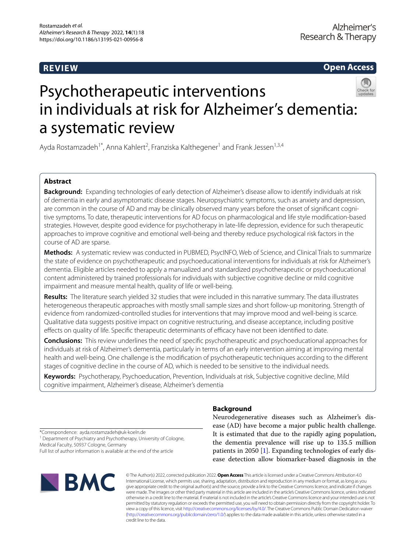# **REVIEW**

**Open Access**

# Psychotherapeutic interventions in individuals at risk for Alzheimer's dementia: a systematic review

Ayda Rostamzadeh<sup>1\*</sup>, Anna Kahlert<sup>2</sup>, Franziska Kalthegener<sup>1</sup> and Frank Jessen<sup>1,3,4</sup>

# **Abstract**

**Background:** Expanding technologies of early detection of Alzheimer's disease allow to identify individuals at risk of dementia in early and asymptomatic disease stages. Neuropsychiatric symptoms, such as anxiety and depression, are common in the course of AD and may be clinically observed many years before the onset of signifcant cognitive symptoms. To date, therapeutic interventions for AD focus on pharmacological and life style modifcation-based strategies. However, despite good evidence for psychotherapy in late-life depression, evidence for such therapeutic approaches to improve cognitive and emotional well-being and thereby reduce psychological risk factors in the course of AD are sparse.

**Methods:** A systematic review was conducted in PUBMED, PsycINFO, Web of Science, and Clinical Trials to summarize the state of evidence on psychotherapeutic and psychoeducational interventions for individuals at risk for Alzheimer's dementia. Eligible articles needed to apply a manualized and standardized psychotherapeutic or psychoeducational content administered by trained professionals for individuals with subjective cognitive decline or mild cognitive impairment and measure mental health, quality of life or well-being.

**Results:** The literature search yielded 32 studies that were included in this narrative summary. The data illustrates heterogeneous therapeutic approaches with mostly small sample sizes and short follow-up monitoring. Strength of evidence from randomized-controlled studies for interventions that may improve mood and well-being is scarce. Qualitative data suggests positive impact on cognitive restructuring, and disease acceptance, including positive effects on quality of life. Specific therapeutic determinants of efficacy have not been identified to date.

**Conclusions:** This review underlines the need of specifc psychotherapeutic and psychoeducational approaches for individuals at risk of Alzheimer's dementia, particularly in terms of an early intervention aiming at improving mental health and well-being. One challenge is the modifcation of psychotherapeutic techniques according to the diferent stages of cognitive decline in the course of AD, which is needed to be sensitive to the individual needs.

**Keywords:** Psychotherapy, Psychoeducation, Prevention, Individuals at risk, Subjective cognitive decline, Mild cognitive impairment, Alzheimer's disease, Alzheimer's dementia

# **Background**

Neurodegenerative diseases such as Alzheimer's disease (AD) have become a major public health challenge. It is estimated that due to the rapidly aging population, the dementia prevalence will rise up to 135.5 million patients in 2050 [\[1](#page-17-0)]. Expanding technologies of early disease detection allow biomarker-based diagnosis in the

\*Correspondence: ayda.rostamzadeh@uk-koeln.de <sup>1</sup> Department of Psychiatry and Psychotherapy, University of Cologne,

Medical Faculty, 50937 Cologne, Germany

Full list of author information is available at the end of the article



© The Author(s) 2022, corrected publication 2022. **Open Access** This article is licensed under a Creative Commons Attribution 4.0 International License, which permits use, sharing, adaptation, distribution and reproduction in any medium or format, as long as you give appropriate credit to the original author(s) and the source, provide a link to the Creative Commons licence, and indicate if changes were made. The images or other third party material in this article are included in the article's Creative Commons licence, unless indicated otherwise in a credit line to the material. If material is not included in the article's Creative Commons licence and your intended use is not permitted by statutory regulation or exceeds the permitted use, you will need to obtain permission directly from the copyright holder. To view a copy of this licence, visit [http://creativecommons.org/licenses/by/4.0/.](http://creativecommons.org/licenses/by/4.0/) The Creative Commons Public Domain Dedication waiver [\(http://creativecommons.org/publicdomain/zero/1.0/\)](http://creativecommons.org/publicdomain/zero/1.0/) applies to the data made available in this article, unless otherwise stated in a credit line to the data.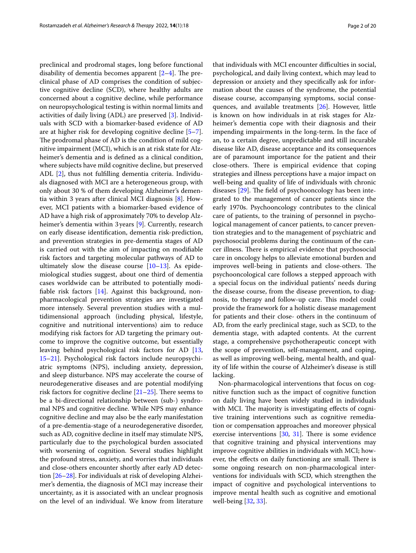preclinical and prodromal stages, long before functional disability of dementia becomes apparent  $[2-4]$  $[2-4]$  $[2-4]$ . The preclinical phase of AD comprises the condition of subjective cognitive decline (SCD), where healthy adults are concerned about a cognitive decline, while performance on neuropsychological testing is within normal limits and activities of daily living (ADL) are preserved [[3\]](#page-18-1). Individuals with SCD with a biomarker-based evidence of AD are at higher risk for developing cognitive decline [\[5](#page-18-2)[–7](#page-18-3)]. The prodromal phase of AD is the condition of mild cognitive impairment (MCI), which is an at risk state for Alzheimer's dementia and is defned as a clinical condition, where subjects have mild cognitive decline, but preserved ADL [\[2](#page-17-1)], thus not fulflling dementia criteria. Individuals diagnosed with MCI are a heterogeneous group, with only about 30 % of them developing Alzheimer's dementia within 3 years after clinical MCI diagnosis [[8\]](#page-18-4). However, MCI patients with a biomarker-based evidence of AD have a high risk of approximately 70% to develop Alzheimer's dementia within 3 years [\[9](#page-18-5)]. Currently, research on early disease identifcation, dementia risk-prediction, and prevention strategies in pre-dementia stages of AD is carried out with the aim of impacting on modifable risk factors and targeting molecular pathways of AD to ultimately slow the disease course [\[10–](#page-18-6)[13\]](#page-18-7). As epidemiological studies suggest, about one third of dementia cases worldwide can be attributed to potentially modifable risk factors [\[14](#page-18-8)]. Against this background, nonpharmacological prevention strategies are investigated more intensely. Several prevention studies with a multidimensional approach (including physical, lifestyle, cognitive and nutritional interventions) aim to reduce modifying risk factors for AD targeting the primary outcome to improve the cognitive outcome, but essentially leaving behind psychological risk factors for AD [\[13](#page-18-7), [15–](#page-18-9)[21](#page-18-10)]. Psychological risk factors include neuropsychiatric symptoms (NPS), including anxiety, depression, and sleep disturbance. NPS may accelerate the course of neurodegenerative diseases and are potential modifying risk factors for cognitive decline  $[21–25]$  $[21–25]$  $[21–25]$  $[21–25]$ . There seems to be a bi-directional relationship between (sub-) syndromal NPS and cognitive decline. While NPS may enhance cognitive decline and may also be the early manifestation of a pre-dementia-stage of a neurodegenerative disorder, such as AD, cognitive decline in itself may stimulate NPS, particularly due to the psychological burden associated with worsening of cognition. Several studies highlight the profound stress, anxiety, and worries that individuals and close-others encounter shortly after early AD detection [[26–](#page-18-12)[28](#page-18-13)]. For individuals at risk of developing Alzheimer's dementia, the diagnosis of MCI may increase their uncertainty, as it is associated with an unclear prognosis on the level of an individual. We know from literature that individuals with MCI encounter difficulties in social, psychological, and daily living context, which may lead to depression or anxiety and they specifcally ask for information about the causes of the syndrome, the potential disease course, accompanying symptoms, social consequences, and available treatments [[26\]](#page-18-12). However, little is known on how individuals in at risk stages for Alzheimer's dementia cope with their diagnosis and their impending impairments in the long-term. In the face of an, to a certain degree, unpredictable and still incurable disease like AD, disease acceptance and its consequences are of paramount importance for the patient and their close-others. There is empirical evidence that coping strategies and illness perceptions have a major impact on well-being and quality of life of individuals with chronic diseases  $[29]$  $[29]$ . The field of psychooncology has been integrated to the management of cancer patients since the early 1970s. Psychooncology contributes to the clinical care of patients, to the training of personnel in psychological management of cancer patients, to cancer prevention strategies and to the management of psychiatric and psychosocial problems during the continuum of the cancer illness. There is empirical evidence that psychosocial care in oncology helps to alleviate emotional burden and improves well-being in patients and close-others. The psychooncological care follows a stepped approach with a special focus on the individual patients' needs during the disease course, from the disease prevention, to diagnosis, to therapy and follow-up care. This model could provide the framework for a holistic disease management for patients and their close- others in the continuum of AD, from the early preclinical stage, such as SCD, to the dementia stage, with adapted contents. At the current stage, a comprehensive psychotherapeutic concept with the scope of prevention, self-management, and coping, as well as improving well-being, mental health, and quality of life within the course of Alzheimer's disease is still lacking.

Non-pharmacological interventions that focus on cognitive function such as the impact of cognitive function on daily living have been widely studied in individuals with MCI. The majority is investigating effects of cognitive training interventions such as cognitive remediation or compensation approaches and moreover physical exercise interventions  $[30, 31]$  $[30, 31]$  $[30, 31]$  $[30, 31]$ . There is some evidence that cognitive training and physical interventions may improve cognitive abilities in individuals with MCI; however, the effects on daily functioning are small. There is some ongoing research on non-pharmacological interventions for individuals with SCD, which strengthen the impact of cognitive and psychological interventions to improve mental health such as cognitive and emotional well-being [[32,](#page-18-17) [33\]](#page-18-18).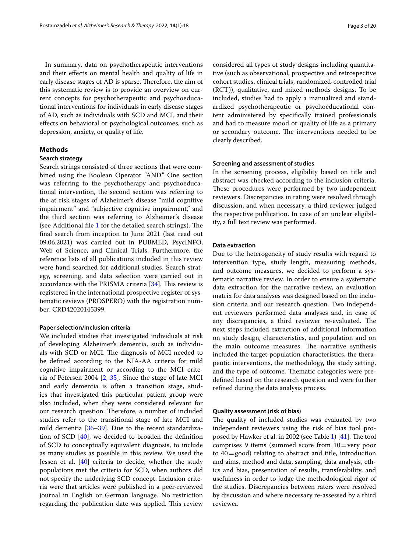In summary, data on psychotherapeutic interventions and their efects on mental health and quality of life in early disease stages of AD is sparse. Therefore, the aim of this systematic review is to provide an overview on current concepts for psychotherapeutic and psychoeducational interventions for individuals in early disease stages of AD, such as individuals with SCD and MCI, and their efects on behavioral or psychological outcomes, such as depression, anxiety, or quality of life.

## **Methods**

### **Search strategy**

Search strings consisted of three sections that were combined using the Boolean Operator "AND." One section was referring to the psychotherapy and psychoeducational intervention, the second section was referring to the at risk stages of Alzheimer's disease "mild cognitive impairment" and "subjective cognitive impairment," and the third section was referring to Alzheimer's disease (see Additional file  $1$  for the detailed search strings). The fnal search from inception to June 2021 (last read out 09.06.2021) was carried out in PUBMED, PsycINFO, Web of Science, and Clinical Trials. Furthermore, the reference lists of all publications included in this review were hand searched for additional studies. Search strategy, screening, and data selection were carried out in accordance with the PRISMA criteria  $[34]$  $[34]$ . This review is registered in the international prospective register of systematic reviews (PROSPERO) with the registration number: CRD42020145399.

## **Paper selection/inclusion criteria**

We included studies that investigated individuals at risk of developing Alzheimer's dementia, such as individuals with SCD or MCI. The diagnosis of MCI needed to be defned according to the NIA-AA criteria for mild cognitive impairment or according to the MCI criteria of Petersen 2004 [[2,](#page-17-1) [35](#page-18-20)]. Since the stage of late MCI and early dementia is often a transition stage, studies that investigated this particular patient group were also included, when they were considered relevant for our research question. Therefore, a number of included studies refer to the transitional stage of late MCI and mild dementia [[36](#page-18-21)[–39](#page-18-22)]. Due to the recent standardization of SCD [[40\]](#page-18-23), we decided to broaden the defnition of SCD to conceptually equivalent diagnosis, to include as many studies as possible in this review. We used the Jessen et al. [\[40](#page-18-23)] criteria to decide, whether the study populations met the criteria for SCD, when authors did not specify the underlying SCD concept. Inclusion criteria were that articles were published in a peer-reviewed journal in English or German language. No restriction regarding the publication date was applied. This review considered all types of study designs including quantitative (such as observational, prospective and retrospective cohort studies, clinical trials, randomized-controlled trial (RCT)), qualitative, and mixed methods designs. To be included, studies had to apply a manualized and standardized psychotherapeutic or psychoeducational content administered by specifcally trained professionals and had to measure mood or quality of life as a primary or secondary outcome. The interventions needed to be clearly described.

## **Screening and assessment of studies**

In the screening process, eligibility based on title and abstract was checked according to the inclusion criteria. These procedures were performed by two independent reviewers. Discrepancies in rating were resolved through discussion, and when necessary, a third reviewer judged the respective publication. In case of an unclear eligibility, a full text review was performed.

#### **Data extraction**

Due to the heterogeneity of study results with regard to intervention type, study length, measuring methods, and outcome measures, we decided to perform a systematic narrative review. In order to ensure a systematic data extraction for the narrative review, an evaluation matrix for data analyses was designed based on the inclusion criteria and our research question. Two independent reviewers performed data analyses and, in case of any discrepancies, a third reviewer re-evaluated. The next steps included extraction of additional information on study design, characteristics, and population and on the main outcome measures. The narrative synthesis included the target population characteristics, the therapeutic interventions, the methodology, the study setting, and the type of outcome. Thematic categories were predefned based on the research question and were further refned during the data analysis process.

# **Quality assessment (risk of bias)**

The quality of included studies was evaluated by two independent reviewers using the risk of bias tool pro-posed by Hawker et al. in 2002 (see Table [1\)](#page-3-0)  $[41]$  $[41]$ . The tool comprises 9 items (summed score from  $10 =$ very poor to  $40 = \text{good}$  relating to abstract and title, introduction and aims, method and data, sampling, data analysis, ethics and bias, presentation of results, transferability, and usefulness in order to judge the methodological rigor of the studies. Discrepancies between raters were resolved by discussion and where necessary re-assessed by a third reviewer.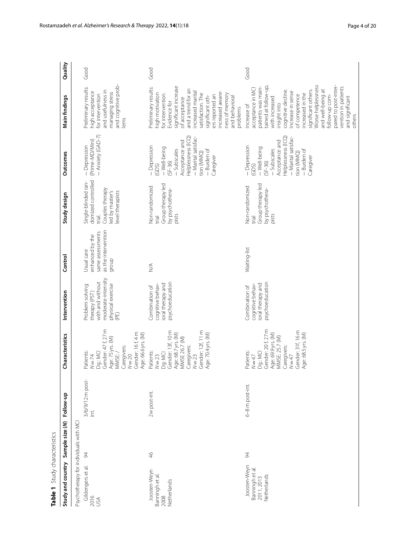<span id="page-3-0"></span>

| - Anxiety (GAD-7)<br>Helplessness (ICQ)<br>Helplessness (ICQ)<br>- Marital satisfac-<br>- Marital satisfac-<br>(Prime-MD/Mini)<br>Acceptance and<br>Acceptance and<br>- Depression<br>- Depression<br>- Depression<br>- Well-being<br>- Well-being<br>- Subscales<br>- Subscales<br>- Burden of<br>- Burden of<br>tion (MMQ)<br>tion (MMQ)<br>Outcomes<br>Caregiver<br>Caregiver<br>$(SF-36)$<br>$(SF-36)$<br>(GDS)<br>(GDS)<br>domized controlled<br>Single-blinded ran-<br>Group therapy led<br>Group therapy led<br>Non-randomized<br>Non-randomized<br>by psychothera-<br>by psychothera-<br>Couples therapy<br>level therapists<br>led by master's<br>Study design<br>pists<br>pists<br>trial.<br>trial<br>trial<br>as the intervention<br>same assessments<br>enhanced by the<br>Waiting-list<br>Usual care<br>Control<br>qroup<br>$\stackrel{\triangle}{\geq}$<br>moderate-intensity<br>with and without<br>psychoeducation<br>psychoeducation<br>physical exercise<br>cognitive behav-<br>ioral therapy and<br>ioral therapy and<br>cognitive behav-<br>Problem-solving<br>Combination of<br>Combination of<br>Intervention<br>therapy (PST)<br>(PE)<br>Gender: 47 f, 27 m<br>Gender: 20 f, 27 m<br>Gender: 12f, 11 m<br>Gender: 31f, 16 m<br>Gender: 13f, 10 m<br>Gender: 16f, 4m<br>Age: 68.7 yrs. (M)<br>Age: 70.4 yrs. (M)<br>Age: 68.5 yrs. (M)<br>Age: 69.9 yrs. (M)<br>Age: 66.6 yrs. (M)<br>Characteristics<br>MMSE: 25.7 (M)<br><b>MMSE 26.7 (M)</b><br>Age: 75 yrs. (M)<br>Caregivers:<br>Caregivers:<br>Caregivers:<br>Patients:<br>Dg.: MCI<br>Patients:<br>Dg.: MCI<br>MMSE:/<br>Dg: MCI<br>Patients:<br>$N = 23$<br>$N=47$<br>$N = 20$<br>$N = 23$<br>$N = 74$<br>$N=47$<br>3/6/9/12 m post-<br>6-8 m post-int.<br>2w post-int.<br>Sample size (N) Follow-up<br>$\overline{\Xi}$<br>Psychotherapy for individuals with MCI<br>46<br>$\approx$<br>94<br>Study and country<br>Gildengers et al.<br>Joosten-Weyn<br>Banningh et al.<br>Joosten-Weyn<br>Banningh et al.<br>Netherlands<br>2011, 2013<br>Netherlands<br>2016<br>USA<br>2008 | Table 1 Study characteristics |  |  |  |                                                                                                                                                                                                                                                                                                                                                                            |         |
|--------------------------------------------------------------------------------------------------------------------------------------------------------------------------------------------------------------------------------------------------------------------------------------------------------------------------------------------------------------------------------------------------------------------------------------------------------------------------------------------------------------------------------------------------------------------------------------------------------------------------------------------------------------------------------------------------------------------------------------------------------------------------------------------------------------------------------------------------------------------------------------------------------------------------------------------------------------------------------------------------------------------------------------------------------------------------------------------------------------------------------------------------------------------------------------------------------------------------------------------------------------------------------------------------------------------------------------------------------------------------------------------------------------------------------------------------------------------------------------------------------------------------------------------------------------------------------------------------------------------------------------------------------------------------------------------------------------------------------------------------------------------------------------------------------------------------------------------------------------------------------------------------------------------------------------------------------------------------------------------------------------------------------------------------------------|-------------------------------|--|--|--|----------------------------------------------------------------------------------------------------------------------------------------------------------------------------------------------------------------------------------------------------------------------------------------------------------------------------------------------------------------------------|---------|
|                                                                                                                                                                                                                                                                                                                                                                                                                                                                                                                                                                                                                                                                                                                                                                                                                                                                                                                                                                                                                                                                                                                                                                                                                                                                                                                                                                                                                                                                                                                                                                                                                                                                                                                                                                                                                                                                                                                                                                                                                                                              |                               |  |  |  | Main findings                                                                                                                                                                                                                                                                                                                                                              | Quality |
|                                                                                                                                                                                                                                                                                                                                                                                                                                                                                                                                                                                                                                                                                                                                                                                                                                                                                                                                                                                                                                                                                                                                                                                                                                                                                                                                                                                                                                                                                                                                                                                                                                                                                                                                                                                                                                                                                                                                                                                                                                                              |                               |  |  |  | and cognitive prob-<br>Preliminary results:<br>and usefulness in<br>nigh acceptance<br>managing stress<br>for intervention<br>lems                                                                                                                                                                                                                                         | Good    |
|                                                                                                                                                                                                                                                                                                                                                                                                                                                                                                                                                                                                                                                                                                                                                                                                                                                                                                                                                                                                                                                                                                                                                                                                                                                                                                                                                                                                                                                                                                                                                                                                                                                                                                                                                                                                                                                                                                                                                                                                                                                              |                               |  |  |  | significant increase<br>Preliminary results:<br>and a trend for an<br>ncreased marital<br>ncreased aware-<br>high motivation<br>for intervention.<br>satisfaction. The<br>ness of memory<br>ers reported an<br>significant oth-<br>of acceptance<br>and behavioral<br>Evidence for                                                                                         | Good    |
|                                                                                                                                                                                                                                                                                                                                                                                                                                                                                                                                                                                                                                                                                                                                                                                                                                                                                                                                                                                                                                                                                                                                                                                                                                                                                                                                                                                                                                                                                                                                                                                                                                                                                                                                                                                                                                                                                                                                                                                                                                                              |                               |  |  |  | Worse helplessness<br>pared to post-inter-<br>tained at follow-up,<br>patients was main-<br>vention in patients<br>acceptance in MCI<br>and well-being at<br>significant others.<br>cognitive decline.<br>ncrease in sense<br>ncreased in the<br>of competence<br>follow-up com-<br>and significant<br>with increased<br>insight into<br>Increase of<br>problems<br>others | Good    |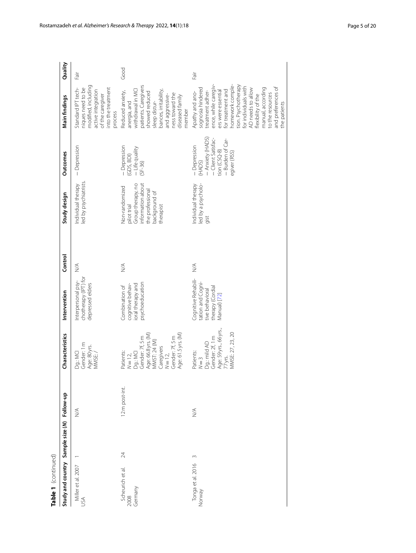| Table 1 (continued)                         |    |                                  |                                                                                                                                                               |                                                                                                |                              |                                                                                                                           |                                                                                                                       |                                                                                                                                                                                                                                                                                                                         |         |
|---------------------------------------------|----|----------------------------------|---------------------------------------------------------------------------------------------------------------------------------------------------------------|------------------------------------------------------------------------------------------------|------------------------------|---------------------------------------------------------------------------------------------------------------------------|-----------------------------------------------------------------------------------------------------------------------|-------------------------------------------------------------------------------------------------------------------------------------------------------------------------------------------------------------------------------------------------------------------------------------------------------------------------|---------|
| Study and country Sample size (N) Follow-up |    |                                  | Characteristics                                                                                                                                               | Intervention                                                                                   | Control                      | Study design                                                                                                              | Outcomes                                                                                                              | Main findings                                                                                                                                                                                                                                                                                                           | Quality |
| Miller et al. 2007<br>USA                   |    | $\stackrel{\triangleleft}{\geq}$ | Gender: 1 m<br>Age: 80 yrs.<br>Dg.: MCI<br>MMSE:/                                                                                                             | chotherapy (IPT) for<br>Interpersonal psy-<br>depressed elders                                 | $\stackrel{\triangle}{\geq}$ | led by psychiatrists.<br>Individual therapy                                                                               | - Depression                                                                                                          | modified, including<br>nto the treatment<br>Standard IPT tech-<br>niques need to be<br>active integration<br>of the caregiver<br>process                                                                                                                                                                                | lie-    |
| Scheurich et al.<br>2008<br>Germany         | 24 | 12 m post-int.                   | Age: 66.8 yrs. (M)<br>Age: 61.5 yrs. (M)<br>Gender: 7f, 5 m<br>Gender: 7f, 5 m<br>MMST: 24 (M)<br>Caregivers<br>Dg.: MCI<br>Patients:<br>$N=12,$<br>$N = 12,$ | psychoeducation<br>cognitive behav-<br>ioral therapy and<br>Combination of                     | $\stackrel{\triangle}{\geq}$ | Group therapy, no<br>information about<br>Non-randomized<br>the professional<br>background of<br>pilot trial<br>therapist | - Depression<br>- Life quality<br>(GDS, BDI)<br>$(SF-36)$                                                             | patients. Caregivers<br>withdrawal in MCI<br>bances, irritability,<br>Reduced anxiety,<br>showed reduced<br>ness toward the<br>and aggressive-<br>diseased family<br>sleep distur-<br>anergia, and<br>member                                                                                                            | Good    |
| Tonga et al. 2016<br>Norway                 | 3  | $\stackrel{\triangleleft}{\geq}$ | Age: 59 yrs., 66 yrs.,<br>MMSE: 27, 23, 20<br>Gender: 2f, 1 m<br>Dg.: mild AD<br>Patients:<br>$N=3$<br>77 yrs.                                                | Cognitive Rehabili-<br>tation and Cogni-<br>therapy (Cordial<br>ive behavioral<br>Manual) [72] | $\stackrel{\triangle}{\geq}$ | Individual therapy<br>led by a psycholo-<br>gist                                                                          | - Anxiety (HADS)<br>- Burden of Car-<br>-Client Satisfac-<br>- Depression<br>tion $(CSQ-8)$<br>egiver (RSS)<br>(HADS) | nomework comple-<br>ence, while caregiv-<br>tion. Psychotherapy<br>or individuals with<br>and preferences of<br>manual, according<br>sognosia hindered<br>AD needs to allow<br>for treatment and<br>treatment adher-<br>ers were essential<br>Apathy and ano-<br>to the resources<br>flexibility of the<br>the patients | Fair    |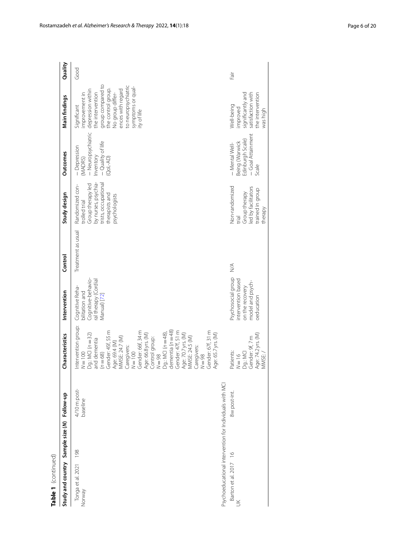| Table 1 (continued)                                     |                          |                                                                                                                                                                                                                                                                                                                                                                                                                                    |                                                                                                |                    |                                                                                                                                         |                                                                                             |                                                                                                                                                                                                                      |         |
|---------------------------------------------------------|--------------------------|------------------------------------------------------------------------------------------------------------------------------------------------------------------------------------------------------------------------------------------------------------------------------------------------------------------------------------------------------------------------------------------------------------------------------------|------------------------------------------------------------------------------------------------|--------------------|-----------------------------------------------------------------------------------------------------------------------------------------|---------------------------------------------------------------------------------------------|----------------------------------------------------------------------------------------------------------------------------------------------------------------------------------------------------------------------|---------|
| Study and country Sample size (N) Follow-up             |                          | Characteristics                                                                                                                                                                                                                                                                                                                                                                                                                    | Intervention                                                                                   | Control            | Study design                                                                                                                            | Outcomes                                                                                    | Main findings                                                                                                                                                                                                        | Quality |
| 198<br>Tonga et al. 2021<br>Norway                      | 4/10 m post-<br>baseline | Intervention group:<br>Gender: 45f, 55 m<br>dementia ( $n = 48$ )<br>Gender: 66f, 34 m<br>Gender: 47f, 51 m<br>Gender: 67f, 31 m<br>$Dg: MCI (n=48),$<br>Age: 70.7 yrs. (M)<br>MMSE: 24.5 (M)<br>Age: 65.7 yrs. (M)<br>$Dg: MCI (n = 32)$<br>Age: 66.8 yrs. (M)<br>Age: 69.4 (M)<br>MMSE: 24.7 (M)<br>Control group:<br>and dementia<br>Caregivers:<br>Caregivers:<br>$N = 100$<br>$(n = 68)$<br>$N = 100$<br>$N = 98$<br>$N = 98$ | Cognitive-behavio-<br>al therapy (Cordial<br>Cognitive Reha-<br>bilitation and<br>Manual) [72] | Treatment as usual | by nurses, psychia-<br>trists, occupational<br>Group therapy led<br>Randomized con-<br>therapists and<br>osychologists<br>trolled trial | - Neuropsychiatric<br>- Quality of life<br>- Depression<br>(MADRS)<br>Inventory<br>(QoL-AD) | group compared to<br>to neuropsychiatric<br>symptoms or qual-<br>the control group.<br>depression within<br>ences with regard<br>No group differ-<br>he intervention<br>improvement in<br>Significant<br>ity of life | Good    |
| Psychoeducational intervention for Individuals with MCI |                          |                                                                                                                                                                                                                                                                                                                                                                                                                                    |                                                                                                |                    |                                                                                                                                         |                                                                                             |                                                                                                                                                                                                                      |         |
| Barton et al. 2017 16<br>K                              | 8w post-int.             | Age: 74.2 yrs. (M)<br>Gender: 9f, 7 m<br>Patients:<br>Dg.: MCI<br>MMSE:<br>$N = 16$                                                                                                                                                                                                                                                                                                                                                | Psychosocial group<br>ntervention based<br>model and psych-<br>on the recovery<br>peducation   | $\lessgtr$         | Non-randomized<br>led by facilitators<br>trained in group<br>Group therapy<br>therapy<br>liej.                                          | - Goal Attainment<br>Edinburgh Scale)<br>Being (Warwick<br>- Mental Well-<br>Scale          | significantly and<br>satisfaction with<br>the intervention<br>Well-being<br>improved<br>was high                                                                                                                     | Fair    |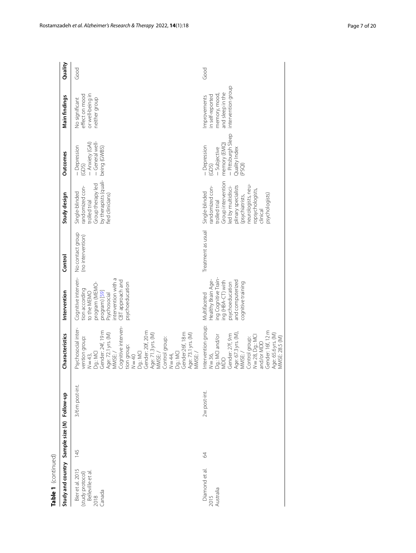| Table 1 (continued)                                                        |     |                 |                                                                                                                                                                                                                                                                                                                                        |                                                                                                                                                                             |                                       |                                                                                                                                                                                                                  |                                                                                                        |                                                                                            |         |
|----------------------------------------------------------------------------|-----|-----------------|----------------------------------------------------------------------------------------------------------------------------------------------------------------------------------------------------------------------------------------------------------------------------------------------------------------------------------------|-----------------------------------------------------------------------------------------------------------------------------------------------------------------------------|---------------------------------------|------------------------------------------------------------------------------------------------------------------------------------------------------------------------------------------------------------------|--------------------------------------------------------------------------------------------------------|--------------------------------------------------------------------------------------------|---------|
| Study and country Sample size (N) Follow-up                                |     |                 | Characteristics                                                                                                                                                                                                                                                                                                                        | Intervention                                                                                                                                                                | Control                               | Study design                                                                                                                                                                                                     | <b>Outcomes</b>                                                                                        | Main findings                                                                              | Quality |
| Bier et al. 2015<br>Belleville et al<br>(study protocol)<br>Canada<br>2018 | 145 | 3/6 m post-int. | Cognitive interven-<br>Psychosocial inter-<br>Gender: 24f, 19 m<br>Gender: 20f, 20 m<br>Gender:26f, 18 m<br>Age: 72.1 yrs. (M)<br>MMSE: /<br>Age: 71.3 yrs. (M)<br>MMSE: /<br>Age: 73.1 yrs. (M)<br>MMSE: /<br>vention group:<br>Control group:<br>tion group:<br>Dg.: MCI<br>Dg.: MCI<br>Dg.: MCI<br>$N = 44,$<br>$N = 43,$<br>$N=40$ | Cognitive interven-<br>ntervention with a<br>CBT approach and<br>psychoeducation<br>program (MEMO-<br>tion according<br>to the MEMO<br>program) [59]<br><b>Psychosocial</b> | No contact group<br>(no intervention) | by therapists (quali-<br>Group therapy led<br>randomized con-<br>Single-blinded<br>fied clinicians)<br>trolled trial                                                                                             | -General well-<br>- Anxiety (GAI)<br>- Depression<br>being (GWBS)<br>(GDS)                             | or well-being in<br>effect on mood<br>No significant<br>neither group                      | Good    |
| Diamond et al.<br>2015<br>Australia                                        | 64  | 2w post-int.    | Intervention group:<br>Gender: 16f, 12 m<br>Age: 67.3 yrs. (M)<br>Age: 65.6 yrs. (M)<br>Gender: 27f, 9 m<br>Control group:<br>N = 28, Dg.: MCI<br>and/or MDD<br>Dg.: MCI and/or<br>MMSE: 28.5 (M)<br>MMSE:/<br>$N = 36$<br><b>NDD</b>                                                                                                  | ing Cognitive Train-<br>Healthy Brain Age-<br>and computerized<br>ing (HBA-CT) with<br>cognitive training<br>psychoeducation<br>Multifaceted                                | Treatment as usual                    | Group intervention<br>neurologists, neu-<br>plinary specialists<br>randomized con-<br>led by multidisci-<br>ropsychologists,<br>Single-blinded<br>psychologists)<br>(psychiatrists,<br>trolled trial<br>clinical | - Pittsburgh Sleep<br>memory (EMQ)<br>- Depression<br>Quality Index<br>- Subjective<br>(GDS)<br>(PSQI) | intervention group<br>and sleep in the<br>memory, mood<br>in self-reported<br>Improvements | Good    |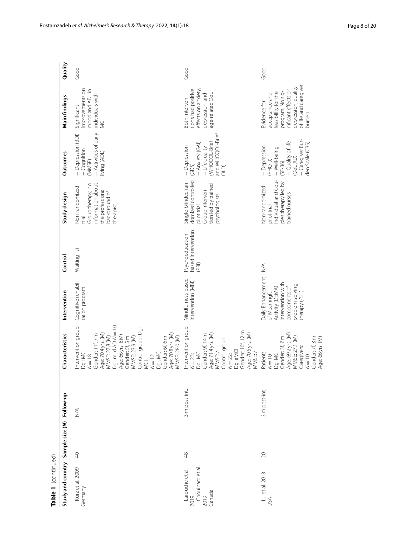| Table 1 (continued)                                           |           |                              |                                                                                                                                                                                                                                                                                                               |                                                                                                                                 |                                                |                                                                                                                     |                                                                                                                               |                                                                                                                                                            |         |
|---------------------------------------------------------------|-----------|------------------------------|---------------------------------------------------------------------------------------------------------------------------------------------------------------------------------------------------------------------------------------------------------------------------------------------------------------|---------------------------------------------------------------------------------------------------------------------------------|------------------------------------------------|---------------------------------------------------------------------------------------------------------------------|-------------------------------------------------------------------------------------------------------------------------------|------------------------------------------------------------------------------------------------------------------------------------------------------------|---------|
| Study and country Sample size (N) Follow-up                   |           |                              | Characteristics                                                                                                                                                                                                                                                                                               | Intervention                                                                                                                    | Control                                        | Study design                                                                                                        | Outcomes                                                                                                                      | Main findings                                                                                                                                              | Quality |
| Kurz et al. 2009<br>Germany                                   | $\ominus$ | $\stackrel{\triangle}{\geq}$ | Dg: mild AD N=10<br>Intervention group:<br>Control group: Dg.:<br>Age: 70.4 yrs. (M)<br>Age: 70.8 yrs. (M)<br>MMSE: 28.0 (M)<br>Gender: 11f, 7 m<br>MMSE: 27,8 (M)<br>Age: 66 yrs. 8 M)<br>MMSE: 23.9 (M)<br>Gender: 5f, 5 m<br>Gender: 6f, 6 m<br>Dg.: MCI<br>Dg.: MCI<br>$N = 18$<br>$N = 12$<br><b>MCI</b> | Cognitive rehabili-<br>tation program                                                                                           | Waiting list                                   | nformation about<br>Group therapy, no<br>Non-randomized<br>the professional<br>background of<br>therapist<br>lein   | - Activities of daily<br>- Depression (BDI)<br>- Cognition<br>living (ADL)<br>(MMSE)                                          | improvements on<br>mood and ADL in<br>individuals with<br>Significant<br><b>VCI</b>                                                                        | Good    |
| Chouinard et al.<br>2019<br>Larouche et al.<br>2019<br>Canada | 48        | 3 m post-int.                | Intervention group:<br>Gender: 10f, 12 m<br>Age: 70.5 yrs. (M)<br>Age: 71.4 yrs. (M)<br>Gender: 9f, 14m<br>Control group<br>Dg: aMCI<br>Dg.: MCI<br>MMSE:/<br>MMSE:<br>$N = 23;$<br>$N = 22;$                                                                                                                 | Mindfulness-based<br>intervention (MBI)                                                                                         | based intervention<br>Psychoeducation-<br>(PB) | domized controlled<br>Single-blinded ran-<br>tion led by trained<br>Group interven-<br>osychologists<br>pilot trial | and WHOQOL-Brief<br>WHOQOL-Brief<br>- Anxiety (GAI)<br>- Depression<br>- Life quality<br>(GDS)<br>OLD                         | tions had positive<br>effects on anxiety,<br>depression, and<br>age-related QoL<br>Both interven-                                                          | Good    |
| Lu et al. 2013<br>USA                                         | 20        | 3 m post-int.                | Age: 69.2 yrs. (M)<br>MMSE: 27.1 (M)<br>Gender: 3f, 7 m<br>Gender: 7f, 3 m<br>Age: 66 yrs. (M)<br>Caregivers:<br>Patients:<br>Dg: MCI<br>$N=10$<br>$N=10$                                                                                                                                                     | Daily Enhancement<br>intervention with<br>problem-solving<br>Activity (DEMA)<br>components of<br>of Meaningful<br>therapy (PST) | $\lessgtr$                                     | ndividual and Cou-<br>ples therapy led by<br>Non-randomized<br>trained nurses<br>pilot trial                        | -Caregiver Bur-<br>- Quality of life<br>den Scale (CBS)<br>- Depression<br>- Well-being<br>$(QoL-AD)$<br>(PHQ-9)<br>$(SF-36)$ | of life and caregiver<br>depression, quality<br>nificant effects on<br>feasibility for the<br>program. No sig-<br>acceptance and<br>Evidence for<br>burden | Good    |

Rostamzadeh *et al. Alzheimer's Research & Therapy* 2022, **14**(1):18 Page 8 of 20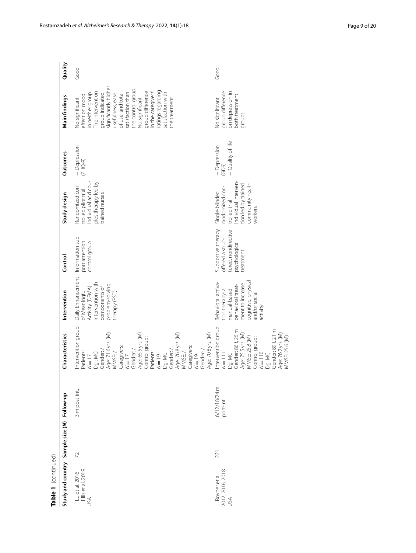| Table 1 (continued)                         |     |                           |                                                                                                                                                                                                                                                                                                                                          |                                                                                                                                                   |                                                                                             |                                                                                                                                 |                                            |                                                                                                                                                                                                                                                                                                                                |         |
|---------------------------------------------|-----|---------------------------|------------------------------------------------------------------------------------------------------------------------------------------------------------------------------------------------------------------------------------------------------------------------------------------------------------------------------------------|---------------------------------------------------------------------------------------------------------------------------------------------------|---------------------------------------------------------------------------------------------|---------------------------------------------------------------------------------------------------------------------------------|--------------------------------------------|--------------------------------------------------------------------------------------------------------------------------------------------------------------------------------------------------------------------------------------------------------------------------------------------------------------------------------|---------|
| Study and country Sample size (N) Follow-up |     |                           | Characteristics                                                                                                                                                                                                                                                                                                                          | Intervention                                                                                                                                      | Control                                                                                     | Study design                                                                                                                    | <b>Outcomes</b>                            | Main findings                                                                                                                                                                                                                                                                                                                  | Quality |
| Lu et al. 2016<br>Ellis et al. 2019<br>USA  | 72  | 3 m post-int.             | Intervention group<br>Age: 70.8 yrs. (M)<br>Age: 71.6 yrs. (M)<br>MMSE: /<br>Age: 65.5 yrs. (M)<br>Control group:<br>Age: 76.8 yrs. (M)<br>Caregivers:<br>Caregivers:<br>Gender:/<br>Gender:/<br>Gender:<br>Dg: MCI<br>Gender: /<br><sup>2</sup> atients:<br>MMSE:/<br>Patients:<br>Dg.: MCI<br>$61 = N$<br>$N = 19$<br>$N=17$<br>$N=17$ | Daily Enhancement<br>intervention with<br>problem-solving<br>Activity (DEMA)<br>components of<br>of Meaningful<br>therapy (PST)                   | Information sup-<br>port attention<br>control group                                         | Individual and cou-<br>ples therapy led by<br>Randomized con-<br>trolled pilot trial<br>trained nurses                          | - Depression<br>(PHQ-9)                    | significantly higher<br>the control group.<br>ratings regarding<br>group difference<br>in the caregivers'<br>satisfaction than<br>The intervention<br>satisfaction with<br>in neither group<br>usefulness, ease<br>group indicated<br>of use, and total<br>effect on mood<br>No significant<br>the treatment<br>No significant | Good    |
| 2012, 2016, 2018<br>USA<br>Rovner et al.    | 221 | 6/12/18/24 m<br>post-int. | Intervention group:<br>Gender: 86 f, 25 m<br>Gender: 89 f, 21 m<br>Age: 75.5 yrs. (M)<br>MMSE: 25.8 (M)<br>Age: 76.2 yrs. (M)<br>MMSE: 25.6 (M)<br>Control group:<br>N=110<br>Dg: MCI<br>$N = 111$<br>Dg: MCI                                                                                                                            | cognitive, physica<br>Behavioral activa-<br>ment to increase<br>behavioral treat-<br>tion therapy: a<br>manual-based<br>and/or social<br>activity | Supportive therapy<br>tured, nondirective<br>offered a struc-<br>psychological<br>treatment | ndividual interven-<br>community health<br>tion led by trained<br>randomized con-<br>Single-blinded<br>trolled trial<br>workers | - Quality of life<br>- Depression<br>(GDS) | group difference<br>on depression in<br>both treatment<br>No significant<br>groups                                                                                                                                                                                                                                             | Good    |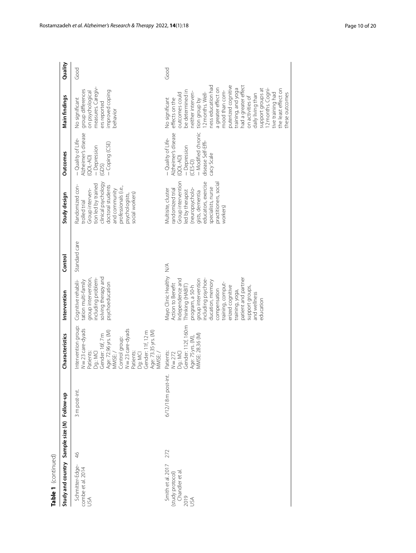| Table 1 (continued)                                                    |     |                    |                                                                                                                                                                                                                                                               |                                                                                                                                                                                                                                                                                                                        |                              |                                                                                                                                                                                                         |                                                                                                                                             |                                                                                                                                                                                                                                                                                                                                                                                                                     |         |
|------------------------------------------------------------------------|-----|--------------------|---------------------------------------------------------------------------------------------------------------------------------------------------------------------------------------------------------------------------------------------------------------|------------------------------------------------------------------------------------------------------------------------------------------------------------------------------------------------------------------------------------------------------------------------------------------------------------------------|------------------------------|---------------------------------------------------------------------------------------------------------------------------------------------------------------------------------------------------------|---------------------------------------------------------------------------------------------------------------------------------------------|---------------------------------------------------------------------------------------------------------------------------------------------------------------------------------------------------------------------------------------------------------------------------------------------------------------------------------------------------------------------------------------------------------------------|---------|
| Study and country Sample size (N) Follow-up                            |     |                    | Characteristics                                                                                                                                                                                                                                               | Intervention                                                                                                                                                                                                                                                                                                           | Control                      | Study design                                                                                                                                                                                            | <b>Outcomes</b>                                                                                                                             | Main findings                                                                                                                                                                                                                                                                                                                                                                                                       | Quality |
| Schmitter-Edge-<br>combe et al. 2014<br>USA                            | 46  | 3 m post-int.      | Intervention group:<br>$N = 23$ care-dyads<br>$N = 23$ care-dyads<br>Age: 72.96 yrs. (M)<br>Gender: 11f, 12 m<br>Age: 73.35 yrs. (M)<br>Gender: 16f, 7 m<br>Control group:<br><b>Patients:</b><br><b>Patients:</b><br>MMSE:/<br>Dg.: MCI<br>Dg: MCI<br>VIMSE: | solving therapy and<br>including problem-<br>group intervention,<br>Cognitive rehabili-<br>tation multi-family<br>psychoeducation                                                                                                                                                                                      | Standard care                | clinical psychology<br>tion led by trained<br>Randomized con-<br>doctoral students<br>professionals (i.e.,<br>Group interven-<br>and community<br>social workers)<br>psychologists,<br>trolled trial    | Alzheimer's disease<br>- Quality of Life-<br>- Coping (CSE)<br>- Depression<br>(QOLAD)<br>(GDS)                                             | measures. Caregiv-<br>group differences<br>improved coping<br>on psychological<br>No significant<br>ers reported<br>behavior                                                                                                                                                                                                                                                                                        | Good    |
| Smith et al. 2017<br>Chandler et al<br>(study protocol)<br>2019<br>USA | 272 | 6/12/18 m post-int | Gender: 112f, 160 m<br>MMSE: 28.36 (M)<br>Age: 75 yrs. (M),<br>Patients:<br>Dg.: MCI<br>$N = 272$                                                                                                                                                             | Vlayo Clinic Healthy<br>patient and partner<br>Independence and<br>group intervention<br>ncluding psychoe-<br>ducation, memory<br>training, comput-<br>Action to Benefit<br>Thinking (HABIT)<br>program, a 50-h<br>erized cognitive<br>support groups,<br>compensation<br>training, yoga,<br>and wellness<br>education | $\stackrel{\triangle}{\geq}$ | Group intervention<br>educators, exercise<br>practitioners, social<br>specialists, nurse<br>randomized trial<br>(neuropsycholo-<br>Multisite, cluster<br>ed by therapist<br>gists, dementia<br>workers) | - Modified chronic<br>Alzheimer's disease<br>- Quality of Life-<br>disease Self-Effi-<br>- Depression<br>cacy Scale<br>(QOLAD)<br>$(CES-D)$ | ness education had<br>puterized cognitive<br>had a greater effect<br>a greater effect on<br>training, and yoga<br>2 months. Cogni-<br>the least effect on<br>support groups at<br>be determined in<br>mood than com-<br>2 months. Well-<br>tive training had<br>these outcomes<br>outcomes could<br>neither interven-<br>daily living than<br>on activities of<br>effects on the<br>No significant<br>tion group by | Good    |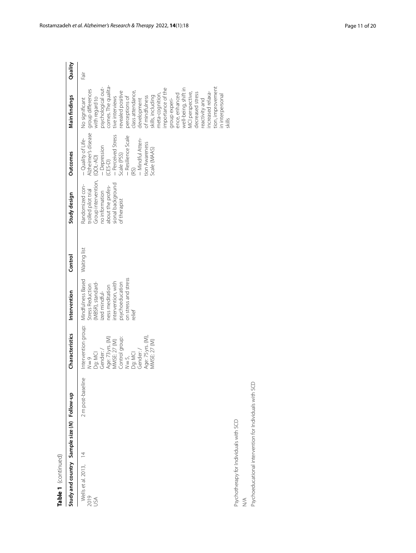| Table 1 (continued)                                     |                |                   |                                                                                                                                                                                      |                                                                                                                                                                          |              |                                                                                                                                           |                                                                                                                                                                                                             |                                                                                                                                                                                                                                                                                                                                                                                                                                                                            |         |
|---------------------------------------------------------|----------------|-------------------|--------------------------------------------------------------------------------------------------------------------------------------------------------------------------------------|--------------------------------------------------------------------------------------------------------------------------------------------------------------------------|--------------|-------------------------------------------------------------------------------------------------------------------------------------------|-------------------------------------------------------------------------------------------------------------------------------------------------------------------------------------------------------------|----------------------------------------------------------------------------------------------------------------------------------------------------------------------------------------------------------------------------------------------------------------------------------------------------------------------------------------------------------------------------------------------------------------------------------------------------------------------------|---------|
| Study and country Sample size (N) Follow-up             |                |                   | Characteristics                                                                                                                                                                      | Intervention                                                                                                                                                             | Control      | Study design                                                                                                                              | Outcomes                                                                                                                                                                                                    | Main findings                                                                                                                                                                                                                                                                                                                                                                                                                                                              | Quality |
| Wells et al. 2013,<br>2019<br>USA                       | $\overline{4}$ | 2 m post-baseline | Intervention group:<br>Age: 75 yrs. (M),<br>Age: 73 yrs. (M)<br>MMSE: 27 (M)<br>Control group:<br>MMSE: 27 (M)<br>Dg: MCI<br>Gender: /<br>$N = 5$ ,<br>Dg: MCI<br>Gender: /<br>$N=9$ | on stress and stress<br>Mindfulness Based<br>ntervention, with<br>psychoeducation<br>(MBSR), standard-<br>Stress Reduction<br>ness meditation<br>ized mindful-<br>relief | Waiting list | Group intervention,<br>no information<br>sional background<br>Randomized con-<br>about the profes-<br>trolled pilot trial<br>of therapist | - Quality of Life-<br>Alzheimer's disease<br>– Perceived Stress<br>Scale (PSS)<br>- Resilience Scale<br>- Mindful Atten-<br>tion Awareness<br>- Depression<br>(CES-D)<br>Scale (MAAS)<br>$(QOL-AD)$<br>(RS) | comes. The qualita-<br>psychological out-<br>tion, improvement<br>importance of the<br>well-being, shift in<br>group differences<br>with regard to<br>evealed positive<br>class attendance,<br>MCI perspective,<br>decreased stress<br>ncreased relaxa-<br>neta-cognition,<br>ence, enhanced<br>in interpersonal<br>of mindfulness<br>skills, including<br>perceptions of<br>tive interviews<br>development<br>No significant<br>group experi-<br>reactivity and<br>skills | Fair    |
| Psychotherapy for Individuals with SCD                  |                |                   |                                                                                                                                                                                      |                                                                                                                                                                          |              |                                                                                                                                           |                                                                                                                                                                                                             |                                                                                                                                                                                                                                                                                                                                                                                                                                                                            |         |
| $\stackrel{\triangle}{\geq}$                            |                |                   |                                                                                                                                                                                      |                                                                                                                                                                          |              |                                                                                                                                           |                                                                                                                                                                                                             |                                                                                                                                                                                                                                                                                                                                                                                                                                                                            |         |
| Psychoeducational intervention for Individuals with SCD |                |                   |                                                                                                                                                                                      |                                                                                                                                                                          |              |                                                                                                                                           |                                                                                                                                                                                                             |                                                                                                                                                                                                                                                                                                                                                                                                                                                                            |         |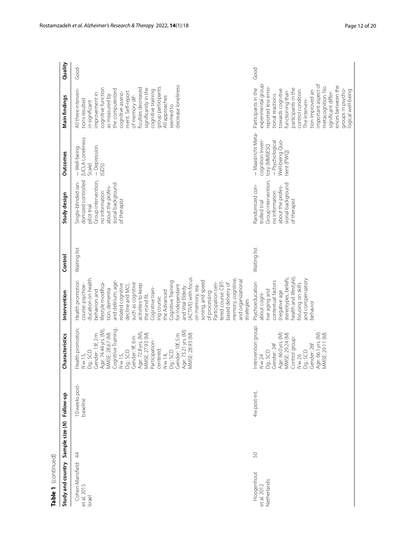| Table 1 (continued)                      |    |                            |                                                                                                                                                                                                                                                                                                                                            |                                                                                                                                                                                                                                                                                                                                                                                                                                                                                                                                                                      |              |                                                                                                                                                             |                                                                                                              |                                                                                                                                                                                                                                                                                                                                                     |         |
|------------------------------------------|----|----------------------------|--------------------------------------------------------------------------------------------------------------------------------------------------------------------------------------------------------------------------------------------------------------------------------------------------------------------------------------------|----------------------------------------------------------------------------------------------------------------------------------------------------------------------------------------------------------------------------------------------------------------------------------------------------------------------------------------------------------------------------------------------------------------------------------------------------------------------------------------------------------------------------------------------------------------------|--------------|-------------------------------------------------------------------------------------------------------------------------------------------------------------|--------------------------------------------------------------------------------------------------------------|-----------------------------------------------------------------------------------------------------------------------------------------------------------------------------------------------------------------------------------------------------------------------------------------------------------------------------------------------------|---------|
| Study and country Sample size (N)        |    | Follow-up                  | Characteristics                                                                                                                                                                                                                                                                                                                            | Intervention                                                                                                                                                                                                                                                                                                                                                                                                                                                                                                                                                         | Control      | Study design                                                                                                                                                | <b>Outcomes</b>                                                                                              | Main findings                                                                                                                                                                                                                                                                                                                                       | Quality |
| Cohen-Mansfield<br>et al. 2015<br>Israel | 44 | 10 weeks post-<br>baseline | Health promotion:<br>N = 15,<br>Cognitive Training<br>Age: 74.44 yrs. (M),<br>Age: 73.21 yrs. (M)<br>MMSE: 28.67 (M)<br>Gender: 13f, 2 m<br>Age: 72.8 yrs. (M).<br>MMSE: 28.93 (M)<br>Gender: 10f, 5 m<br>VIMSE: 27.93 (M)<br>Gender: 9f, 6 m<br>Participation-<br>centered:<br>Dg.: SCD<br>Dg.: SCD<br>Dg.: SCD<br>$N = 15,$<br>$N = 14,$ | ACTIVE) with focus<br>memory, cognitive,<br>ducation on health<br>and organizational<br>and delirium; age-<br>soning, and speed<br>Health promotion<br>Cognitive Training<br>Participation cen-<br>ifestyle modifica-<br>such as cognitive<br>elated cognitive<br>based delivery of<br>tered course: CBT<br>decline and MCI,<br>activities to keep<br>course: psychoe-<br>or Independent<br>on memory, rea-<br>and Vital Elderly<br>Cognitive train-<br>tion; dementia<br>behaviors and<br>he Advanced<br>of processing<br>the mind fit.<br>ng course:<br>strategies | Waiting list | domized controlled<br>Group intervention,<br>Single-blinded ran-<br>sional background<br>about the profes-<br>no information<br>of therapist<br>pilot trial | (UCLA Loneliness<br>- Depression<br>(GDS)<br>- Well-being<br>Scale)                                          | decrease loneliness<br>group participants.<br>ficulties decreased<br>significantly in the<br>cognitive function<br>All three interven-<br>the computerized<br>cognitive training<br>ment. Self-report<br>cognitive assess-<br>improvement in<br>as measured by<br>of memory dif-<br>All approaches<br>tions resulted<br>in significant<br>seemed to | Good    |
| Hoogenhout<br>Netherlands<br>et al. 2012 | 50 | 4w post-int.               | Intervention group:<br>Age: 66.0 yrs. (M)<br>Age: 66.1 yrs. (M)<br>MMSE: 29.24 (M)<br>MMSE: 29.11 (M)<br>Control group:<br>Gender: 24f<br>Gender: 26f<br>Dg.: SCD<br>Dg.: SCD<br>$N = 26$<br>$N = 24$                                                                                                                                      | stereotypes, beliefs,<br>nealth and lifestyle)<br>and compensatory<br>contextual factors<br>ocusing on skills<br>Psychoeducation<br>tive aging and<br>negative age<br>about cogni-<br>behavior                                                                                                                                                                                                                                                                                                                                                                       | Waiting list | Group intervention<br>sional background<br>Randomized con-<br>about the profes-<br>no information<br>of therapist<br>trolled trial                          | - Maastricht Meta-<br>cognition Inven-<br>Well-being Quo-<br>- Psychological<br>tory (MMI)ESQ<br>tient (PWQ) | important aspect of<br>experimental group<br>ences between the<br>metacognition. No<br>eported less emo-<br>Participants in the<br>participants in the<br>towards cognitive<br>groups in psycho-<br>logical well-being<br>control condition.<br>tion improved an<br>functioning than<br>significant differ-<br>tional reactions<br>The interven-    | Good    |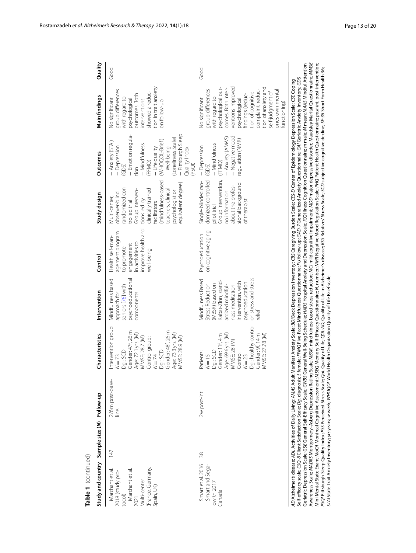| Table 1 (continued)                                                                                                         |     |                         |                                                                                                                                                                                                                                                                                                                                                                                                                                                                                                                                                                                                                                                                                                                                                                                                                                                                                                                                                                                                                                                                                                                                                                                                                                                                                                                                                                                                |                                                                                                                                                                                                                    |                                                                                                                        |                                                                                                                                                                                                                                          |                                                                                                                                                                                                                              |                                                                                                                                                                                                                                                                                            |         |
|-----------------------------------------------------------------------------------------------------------------------------|-----|-------------------------|------------------------------------------------------------------------------------------------------------------------------------------------------------------------------------------------------------------------------------------------------------------------------------------------------------------------------------------------------------------------------------------------------------------------------------------------------------------------------------------------------------------------------------------------------------------------------------------------------------------------------------------------------------------------------------------------------------------------------------------------------------------------------------------------------------------------------------------------------------------------------------------------------------------------------------------------------------------------------------------------------------------------------------------------------------------------------------------------------------------------------------------------------------------------------------------------------------------------------------------------------------------------------------------------------------------------------------------------------------------------------------------------|--------------------------------------------------------------------------------------------------------------------------------------------------------------------------------------------------------------------|------------------------------------------------------------------------------------------------------------------------|------------------------------------------------------------------------------------------------------------------------------------------------------------------------------------------------------------------------------------------|------------------------------------------------------------------------------------------------------------------------------------------------------------------------------------------------------------------------------|--------------------------------------------------------------------------------------------------------------------------------------------------------------------------------------------------------------------------------------------------------------------------------------------|---------|
| Study and country Sample size (N) Follow-up                                                                                 |     |                         | Characteristics                                                                                                                                                                                                                                                                                                                                                                                                                                                                                                                                                                                                                                                                                                                                                                                                                                                                                                                                                                                                                                                                                                                                                                                                                                                                                                                                                                                | Intervention                                                                                                                                                                                                       | Control                                                                                                                | Study design                                                                                                                                                                                                                             | <b>Outcomes</b>                                                                                                                                                                                                              | Main findings                                                                                                                                                                                                                                                                              | Quality |
| (France, Germany,<br>Marchant et al.<br>2018 (study pro-<br>tocol)<br>Marchant et al.<br>2021<br>Multi-center<br>Spain, UK) | 147 | 2/6m post-base-<br>ine. | ntervention group:<br>Gender: 48f, 26 m<br>Gender: 47f, 26 m<br>Age: 73.3 yrs. (M)<br>Age: 72.1 yrs. (M)<br>MMSE: 28.9 (M)<br>MMSE: 28.7 (M)<br>Control group:<br>Dg.: SCD<br>Dg.: SCD<br>$N = 74$<br>$N = 73$                                                                                                                                                                                                                                                                                                                                                                                                                                                                                                                                                                                                                                                                                                                                                                                                                                                                                                                                                                                                                                                                                                                                                                                 | psychoeducational<br>Mindfulness based<br>seniors [76] with<br>approach for<br>components                                                                                                                          | improve health and<br>agement program<br>Health self-man-<br>n activities to<br>engagement<br>to promote<br>well-being | (mindfulness-based<br>equivalent degree)<br>randomized con-<br>clinically trained<br>Group interven-<br>teachers, clinical<br>osychologist or<br>observer-blind<br>Multi-center,<br>tions led by<br>trolled trial<br><b>facilitators</b> | - Pittsburgh Sleep<br>- Emotion regula-<br>(Loneliness Scale)<br>(WHOQQL-Brief)<br>- Anxiety (STAI)<br>- Mindfulness<br>- Depression<br>- Life quality<br>- Well-being<br>Quality Index<br>(FFMQ)<br>(PSQI)<br>(GDS)<br>tion | ion in trait anxiety<br>group differences<br>showed a reduc-<br>putcomes. Both<br>with regard to<br>No significant<br>psychological<br>nterventions<br>on follow-up                                                                                                                        | Good    |
| Smart et al. 2016<br>Smart and Sega-<br>lowith 2017<br>Canada                                                               | 38  | 2w post-int.            | Dg: healthy control<br>Gender: 9f, 14m<br>Age: 69.6 yrs. (M)<br>MMSE: 27.78 (M)<br>Gender: 11f, 4m<br>MMSE: 28 (M)<br>Dg.: SCD<br>Patients:<br>Control:<br>$N = 15$<br>$N = 23$                                                                                                                                                                                                                                                                                                                                                                                                                                                                                                                                                                                                                                                                                                                                                                                                                                                                                                                                                                                                                                                                                                                                                                                                                | on stress and stress<br>Viindfulness Based<br>ntervention, with<br><abat-zinn, stand<br="">osychoeducation<br/>MBSR) based on<br/>Stress Reduction<br/>ardized mindful-<br/>ness meditation<br/>elief</abat-zinn,> | on cognitive aging<br>Psychoeducation                                                                                  | domized controlled<br>Group intervention,<br>Single-blinded ran-<br>sional background<br>about the profes-<br>no information<br>of therapist<br>pilot trial                                                                              | - Negative mood<br>- Anxiety (AMAS)<br>regulation (NMR)<br>- Mindfulness<br>- Depression<br>(FFMQ)<br>(GDS)                                                                                                                  | tion of anxiety and<br>ventions improved<br>osychological out-<br>comes. Both inter-<br>complaint, reduc-<br>group differences<br>one's own mental<br>tion of cognitive<br>self-judgment of<br>indinas (reduc-<br>with regard to<br>osychological<br><b>Vo significant</b><br>functioning) | Good    |
| AD Alzheimer's disease; ADL Activities of Daily Living; AMAS Adult                                                          |     |                         | Awareness Scale; MADRS Montgomery-Asberg Depression Rating Scale; MBSR, mindfulness based stress reduction; MO mild cognitive impairment; MDD major depressive disorder; Maudsley Marital Questionnaire; MMSE<br>Geriatric Depression Scale; GSE General Self-Efficacy Scale; GWBS General Well-Being Schedule; HADS Hospital Anxiety and Depression Scale; ICQ Illness Cognition Questionnaire; m male; M mean; MAAS Mindful Attention<br>Mini Mental State Exam; MoCA Montreal Cognitive Assessment; MSEQ Memory Self-Efficacy Questionnaire; M, number; MMR Negative Mood Regulation Scale; PHQ Patient Health Questionnaire; post-intervention;<br>PSQI Pittsburgh Sleep Quality Index; Psrceived Stress Scale; QoL Quality of Life; QOL-AD, Quality of Life; in Alzheimer's disease; RSS Relatives' Stress Scale; SCD subjective cognitive decline; SF-36 Short Form Health 36;<br>Self-efficacy scale; CSQ-8 Client Satisfaction Scale; <i>Dg</i> . diagnosis; f. female; FFMQ Five-Facet Mindfulness Questionnaire; FU follow-up; GAD-7 Generalized Anxiety Questionnaire; GAI Geriatric Anxiety Inventory; GDS<br>Manifest Anxiety Scale; BDJ Beck Depression Inventory; CBS Caregiving Burden Scale; CES-D Center of Epidemiology Depression Scale; CSE Coping<br>STAI State-Trait Anxiety Inventory; yrs years; w week; WHOQOL World Health Organization Quality of Life Brief scale |                                                                                                                                                                                                                    |                                                                                                                        |                                                                                                                                                                                                                                          |                                                                                                                                                                                                                              |                                                                                                                                                                                                                                                                                            |         |

Rostamzadeh *et al. Alzheimer's Research & Therapy* 2022, **14**(1):18 **Page 13** of 20 **Page 13** of 20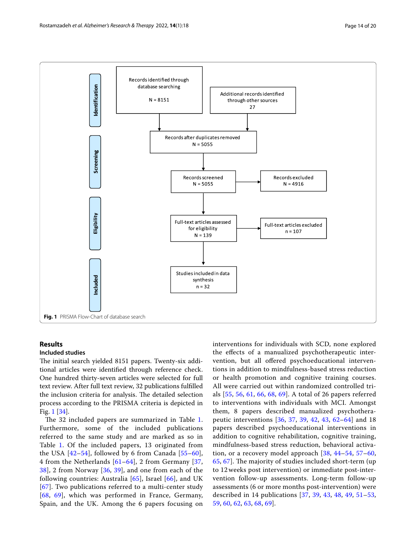

# <span id="page-13-0"></span>**Results**

## **Included studies**

The initial search yielded 8151 papers. Twenty-six additional articles were identifed through reference check. One hundred thirty-seven articles were selected for full text review. After full text review, 32 publications fulflled the inclusion criteria for analysis. The detailed selection process according to the PRISMA criteria is depicted in Fig. [1](#page-13-0) [\[34](#page-18-19)].

The 32 included papers are summarized in Table [1](#page-3-0). Furthermore, some of the included publications referred to the same study and are marked as so in Table [1](#page-3-0). Of the included papers, 13 originated from the USA [[42–](#page-18-25)[54](#page-19-3)], followed by 6 from Canada [[55–](#page-19-4)[60\]](#page-19-5), 4 from the Netherlands [[61–](#page-19-6)[64\]](#page-19-7), 2 from Germany [\[37](#page-18-26), [38\]](#page-18-27), 2 from Norway [[36,](#page-18-21) [39](#page-18-22)], and one from each of the following countries: Australia [[65\]](#page-19-8), Israel [\[66\]](#page-19-9), and UK [[67](#page-19-10)]. Two publications referred to a multi-center study [[68](#page-19-11), [69\]](#page-19-12), which was performed in France, Germany, Spain, and the UK. Among the 6 papers focusing on interventions for individuals with SCD, none explored the efects of a manualized psychotherapeutic intervention, but all offered psychoeducational interventions in addition to mindfulness-based stress reduction or health promotion and cognitive training courses. All were carried out within randomized controlled trials [\[55](#page-19-4), [56,](#page-19-13) [61](#page-19-6), [66](#page-19-9), [68,](#page-19-11) [69](#page-19-12)]. A total of 26 papers referred to interventions with individuals with MCI. Amongst them, 8 papers described manualized psychotherapeutic interventions [\[36](#page-18-21), [37](#page-18-26), [39](#page-18-22), [42](#page-18-25), [43,](#page-19-14) [62–](#page-19-15)[64\]](#page-19-7) and 18 papers described psychoeducational interventions in addition to cognitive rehabilitation, cognitive training, mindfulness-based stress reduction, behavioral activation, or a recovery model approach [\[38,](#page-18-27) [44](#page-19-16)[–54](#page-19-3), [57](#page-19-17)[–60](#page-19-5), [65,](#page-19-8) [67\]](#page-19-10). The majority of studies included short-term (up to 12 weeks post intervention) or immediate post-intervention follow-up assessments. Long-term follow-up assessments (6 or more months post-intervention) were described in 14 publications [[37,](#page-18-26) [39,](#page-18-22) [43](#page-19-14), [48,](#page-19-18) [49,](#page-19-19) [51](#page-19-20)[–53](#page-19-21), [59,](#page-19-1) [60,](#page-19-5) [62,](#page-19-15) [63,](#page-19-22) [68,](#page-19-11) [69](#page-19-12)].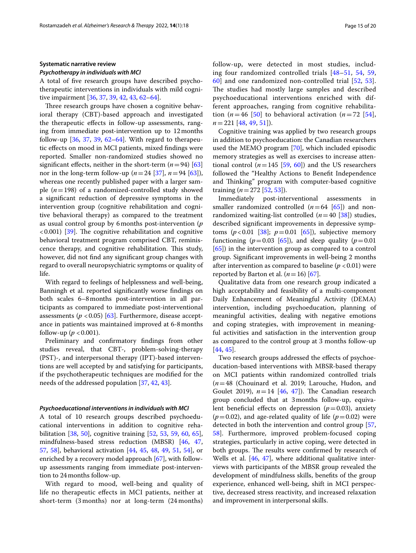#### **Systematic narrative review**

#### *Psychotherapy in individuals with MCI*

A total of fve research groups have described psychotherapeutic interventions in individuals with mild cognitive impairment [[36,](#page-18-21) [37,](#page-18-26) [39](#page-18-22), [42,](#page-18-25) [43](#page-19-14), [62](#page-19-15)[–64](#page-19-7)].

Three research groups have chosen a cognitive behavioral therapy (CBT)-based approach and investigated the therapeutic efects in follow-up assessments, ranging from immediate post-intervention up to 12months follow-up  $[36, 37, 39, 62-64]$  $[36, 37, 39, 62-64]$  $[36, 37, 39, 62-64]$  $[36, 37, 39, 62-64]$  $[36, 37, 39, 62-64]$  $[36, 37, 39, 62-64]$  $[36, 37, 39, 62-64]$ . With regard to therapeutic efects on mood in MCI patients, mixed fndings were reported. Smaller non-randomized studies showed no significant effects, neither in the short-term  $(n=94)$  [[63](#page-19-22)] nor in the long-term follow-up  $(n=24 [37], n=94 [63])$  $(n=24 [37], n=94 [63])$  $(n=24 [37], n=94 [63])$  $(n=24 [37], n=94 [63])$  $(n=24 [37], n=94 [63])$ , whereas one recently published paper with a larger sample (*n*=198) of a randomized-controlled study showed a signifcant reduction of depressive symptoms in the intervention group (cognitive rehabilitation and cognitive behavioral therapy) as compared to the treatment as usual control group by 6months post-intervention (*p*  $(0.001)$  [\[39](#page-18-22)]. The cognitive rehabilitation and cognitive behavioral treatment program comprised CBT, reminiscence therapy, and cognitive rehabilitation. This study, however, did not fnd any signifcant group changes with regard to overall neuropsychiatric symptoms or quality of life.

With regard to feelings of helplessness and well-being, Banningh et al. reported signifcantly worse fndings on both scales 6–8months post-intervention in all participants as compared to immediate post-interventional assessments  $(p < 0.05)$  [\[63](#page-19-22)]. Furthermore, disease acceptance in patients was maintained improved at 6-8months follow-up ( $p < 0.001$ ).

Preliminary and confrmatory fndings from other studies reveal, that CBT-, problem-solving-therapy (PST)-, and interpersonal therapy (IPT)-based interventions are well accepted by and satisfying for participants, if the psychotherapeutic techniques are modifed for the needs of the addressed population [[37](#page-18-26), [42,](#page-18-25) [43](#page-19-14)].

#### *Psychoeducational interventions in individuals with MCI*

A total of 10 research groups described psychoeducational interventions in addition to cognitive rehabilitation [\[38](#page-18-27), [50\]](#page-19-23), cognitive training [[52,](#page-19-24) [53,](#page-19-21) [59](#page-19-1), [60,](#page-19-5) [65](#page-19-8)], mindfulness-based stress reduction (MBSR) [[46](#page-19-25), [47](#page-19-26), [57,](#page-19-17) [58](#page-19-27)], behavioral activation [[44](#page-19-16), [45,](#page-19-28) [48,](#page-19-18) [49](#page-19-19), [51,](#page-19-20) [54\]](#page-19-3), or enriched by a recovery model approach [\[67](#page-19-10)], with followup assessments ranging from immediate post-intervention to 24months follow-up.

With regard to mood, well-being and quality of life no therapeutic efects in MCI patients, neither at short-term (3 months) nor at long-term (24 months) follow-up, were detected in most studies, including four randomized controlled trials [\[48](#page-19-18)[–51,](#page-19-20) [54](#page-19-3), [59](#page-19-1), [60\]](#page-19-5) and one randomized non-controlled trial [[52,](#page-19-24) [53](#page-19-21)]. The studies had mostly large samples and described psychoeducational interventions enriched with different approaches, ranging from cognitive rehabilitation  $(n=46 \; [50]$  $(n=46 \; [50]$  to behavioral activation  $(n=72 \; [54])$  $(n=72 \; [54])$  $(n=72 \; [54])$ , *n*=221 [[48,](#page-19-18) [49,](#page-19-19) [51\]](#page-19-20)).

Cognitive training was applied by two research groups in addition to psychoeducation: the Canadian researchers used the MEMO program [[70\]](#page-19-29), which included episodic memory strategies as well as exercises to increase attentional control  $(n=145 \; [59, 60])$  $(n=145 \; [59, 60])$  $(n=145 \; [59, 60])$  $(n=145 \; [59, 60])$  $(n=145 \; [59, 60])$  and the US researchers followed the "Healthy Actions to Beneft Independence and Thinking" program with computer-based cognitive training (*n*=272 [\[52](#page-19-24), [53](#page-19-21)]).

Immediately post-interventional assessments in smaller randomized controlled  $(n=64 \ [65])$  $(n=64 \ [65])$  $(n=64 \ [65])$  and nonrandomized waiting-list controlled  $(n=40 \text{ [38]})$  $(n=40 \text{ [38]})$  $(n=40 \text{ [38]})$  studies, described signifcant improvements in depressive symptoms  $(p < 0.01$  [\[38](#page-18-27)];  $p = 0.01$  [[65\]](#page-19-8)), subjective memory functioning  $(p=0.03 \, [65])$  $(p=0.03 \, [65])$  $(p=0.03 \, [65])$ , and sleep quality  $(p=0.01 \,$ [[65\]](#page-19-8)) in the intervention group as compared to a control group. Signifcant improvements in well-being 2 months after intervention as compared to baseline ( $p < 0.01$ ) were reported by Barton et al.  $(n=16)$  [[67\]](#page-19-10).

Qualitative data from one research group indicated a high acceptability and feasibility of a multi-component Daily Enhancement of Meaningful Activity (DEMA) intervention, including psychoeducation, planning of meaningful activities, dealing with negative emotions and coping strategies, with improvement in meaningful activities and satisfaction in the intervention group as compared to the control group at 3 months follow-up [[44,](#page-19-16) [45](#page-19-28)].

Two research groups addressed the effects of psychoeducation-based interventions with MBSR-based therapy on MCI patients within randomized controlled trials (*n*=48 (Chouinard et al. 2019; Larouche, Hudon, and Goulet 2019),  $n=14$  [\[46](#page-19-25), [47](#page-19-26)]). The Canadian research group concluded that at 3months follow-up, equivalent beneficial effects on depression  $(p=0.03)$ , anxiety  $(p=0.02)$ , and age-related quality of life  $(p=0.02)$  were detected in both the intervention and control group [[57](#page-19-17), [58\]](#page-19-27). Furthermore, improved problem-focused coping strategies, particularly in active coping, were detected in both groups. The results were confirmed by research of Wells et al. [[46](#page-19-25), [47\]](#page-19-26), where additional qualitative interviews with participants of the MBSR group revealed the development of mindfulness skills, benefts of the group experience, enhanced well-being, shift in MCI perspective, decreased stress reactivity, and increased relaxation and improvement in interpersonal skills.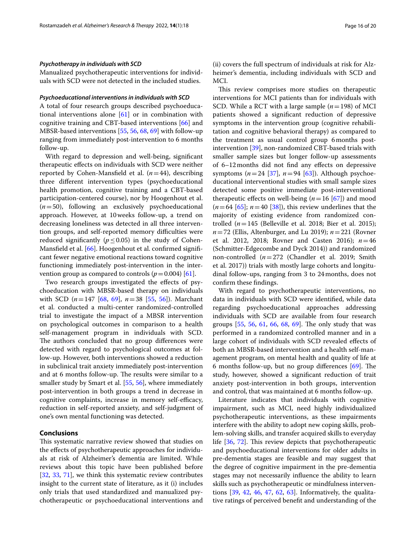#### *Psychotherapy in individuals with SCD*

Manualized psychotherapeutic interventions for individuals with SCD were not detected in the included studies.

### *Psychoeducational interventions in individuals with SCD*

A total of four research groups described psychoeducational interventions alone [[61\]](#page-19-6) or in combination with cognitive training and CBT-based interventions [\[66](#page-19-9)] and MBSR-based interventions [[55,](#page-19-4) [56](#page-19-13), [68](#page-19-11), [69\]](#page-19-12) with follow-up ranging from immediately post-intervention to 6 months follow-up.

With regard to depression and well-being, signifcant therapeutic efects on individuals with SCD were neither reported by Cohen-Mansfield et al.  $(n=44)$ , describing three diferent intervention types (psychoeducational health promotion, cognitive training and a CBT-based participation-centered course), nor by Hoogenhout et al. (*n*=50), following an exclusively psychoeducational approach. However, at 10weeks follow-up, a trend on decreasing loneliness was detected in all three intervention groups, and self-reported memory difficulties were reduced significantly ( $p \le 0.05$ ) in the study of Cohen-Mansfield et al. [\[66](#page-19-9)]. Hoogenhout et al. confirmed significant fewer negative emotional reactions toward cognitive functioning immediately post-intervention in the intervention group as compared to controls  $(p=0.004)$  [[61\]](#page-19-6).

Two research groups investigated the effects of psychoeducation with MBSR-based therapy on individuals with SCD (*n*=147 [\[68](#page-19-11), [69](#page-19-12)], *n*=38 [[55](#page-19-4), [56\]](#page-19-13)). Marchant et al. conducted a multi-center randomized-controlled trial to investigate the impact of a MBSR intervention on psychological outcomes in comparison to a health self-management program in individuals with SCD. The authors concluded that no group differences were detected with regard to psychological outcomes at follow-up. However, both interventions showed a reduction in subclinical trait anxiety immediately post-intervention and at 6 months follow-up. The results were similar to a smaller study by Smart et al. [[55](#page-19-4), [56](#page-19-13)], where immediately post-intervention in both groups a trend in decrease in cognitive complaints, increase in memory self-efficacy, reduction in self-reported anxiety, and self-judgment of one's own mental functioning was detected.

# **Conclusions**

This systematic narrative review showed that studies on the efects of psychotherapeutic approaches for individuals at risk of Alzheimer's dementia are limited. While reviews about this topic have been published before [[32,](#page-18-17) [33](#page-18-18), [71\]](#page-19-30), we think this systematic review contributes insight to the current state of literature, as it (i) includes only trials that used standardized and manualized psychotherapeutic or psychoeducational interventions and (ii) covers the full spectrum of individuals at risk for Alzheimer's dementia, including individuals with SCD and MCI.

This review comprises more studies on therapeutic interventions for MCI patients than for individuals with SCD. While a RCT with a large sample (*n*=198) of MCI patients showed a signifcant reduction of depressive symptoms in the intervention group (cognitive rehabilitation and cognitive behavioral therapy) as compared to the treatment as usual control group 6months postintervention [[39\]](#page-18-22), non-randomized CBT-based trials with smaller sample sizes but longer follow-up assessments of 6–12months did not fnd any efects on depressive symptoms  $(n=24 \ [37], n=94 \ [63])$  $(n=24 \ [37], n=94 \ [63])$  $(n=24 \ [37], n=94 \ [63])$  $(n=24 \ [37], n=94 \ [63])$  $(n=24 \ [37], n=94 \ [63])$ . Although psychoeducational interventional studies with small sample sizes detected some positive immediate post-interventional therapeutic effects on well-being  $(n=16 \, [67])$  $(n=16 \, [67])$  $(n=16 \, [67])$  and mood  $(n=64 \; [65]$  $(n=64 \; [65]$  $(n=64 \; [65]$ ;  $n=40 \; [38]$  $n=40 \; [38]$  $n=40 \; [38]$ ), this review underlines that the majority of existing evidence from randomized controlled (*n*=145 (Belleville et al. 2018; Bier et al. 2015); *n*=72 (Ellis, Altenburger, and Lu 2019); *n*=221 (Rovner et al. 2012, 2018; Rovner and Casten 2016); *n*=46 (Schmitter-Edgecombe and Dyck 2014)) and randomized non-controlled (*n*=272 (Chandler et al. 2019; Smith et al. 2017)) trials with mostly large cohorts and longitudinal follow-ups, ranging from 3 to 24months, does not confrm these fndings.

With regard to psychotherapeutic interventions, no data in individuals with SCD were identifed, while data regarding psychoeducational approaches addressing individuals with SCD are available from four research groups  $[55, 56, 61, 66, 68, 69]$  $[55, 56, 61, 66, 68, 69]$  $[55, 56, 61, 66, 68, 69]$  $[55, 56, 61, 66, 68, 69]$  $[55, 56, 61, 66, 68, 69]$  $[55, 56, 61, 66, 68, 69]$  $[55, 56, 61, 66, 68, 69]$  $[55, 56, 61, 66, 68, 69]$  $[55, 56, 61, 66, 68, 69]$  $[55, 56, 61, 66, 68, 69]$  $[55, 56, 61, 66, 68, 69]$  $[55, 56, 61, 66, 68, 69]$  $[55, 56, 61, 66, 68, 69]$ . The only study that was performed in a randomized controlled manner and in a large cohort of individuals with SCD revealed efects of both an MBSR-based intervention and a health self-management program, on mental health and quality of life at 6 months follow-up, but no group differences  $[69]$  $[69]$ . The study, however, showed a signifcant reduction of trait anxiety post-intervention in both groups, intervention and control, that was maintained at 6 months follow-up.

Literature indicates that individuals with cognitive impairment, such as MCI, need highly individualized psychotherapeutic interventions, as these impairments interfere with the ability to adopt new coping skills, problem-solving skills, and transfer acquired skills to everyday life  $[36, 72]$  $[36, 72]$  $[36, 72]$ . This review depicts that psychotherapeutic and psychoeducational interventions for older adults in pre-dementia stages are feasible and may suggest that the degree of cognitive impairment in the pre-dementia stages may not necessarily infuence the ability to learn skills such as psychotherapeutic or mindfulness interventions [[39,](#page-18-22) [42,](#page-18-25) [46](#page-19-25), [47](#page-19-26), [62,](#page-19-15) [63\]](#page-19-22). Informatively, the qualitative ratings of perceived beneft and understanding of the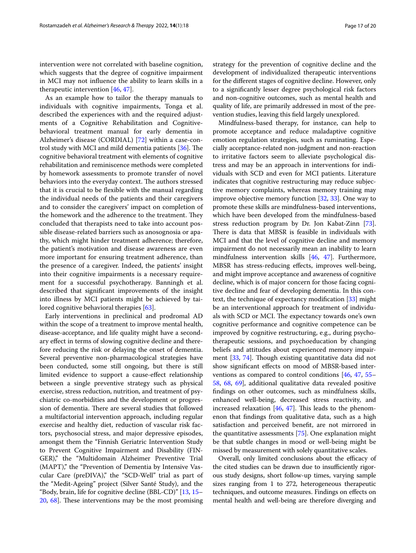intervention were not correlated with baseline cognition, which suggests that the degree of cognitive impairment in MCI may not infuence the ability to learn skills in a therapeutic intervention [[46,](#page-19-25) [47](#page-19-26)].

As an example how to tailor the therapy manuals to individuals with cognitive impairments, Tonga et al. described the experiences with and the required adjustments of a Cognitive Rehabilitation and Cognitivebehavioral treatment manual for early dementia in Alzheimer's disease (CORDIAL) [\[72](#page-19-0)] within a case-control study with MCI and mild dementia patients  $[36]$  $[36]$  $[36]$ . The cognitive behavioral treatment with elements of cognitive rehabilitation and reminiscence methods were completed by homework assessments to promote transfer of novel behaviors into the everyday context. The authors stressed that it is crucial to be fexible with the manual regarding the individual needs of the patients and their caregivers and to consider the caregivers' impact on completion of the homework and the adherence to the treatment. They concluded that therapists need to take into account possible disease-related barriers such as anosognosia or apathy, which might hinder treatment adherence; therefore, the patient's motivation and disease awareness are even more important for ensuring treatment adherence, than the presence of a caregiver. Indeed, the patients' insight into their cognitive impairments is a necessary requirement for a successful psychotherapy. Banningh et al. described that signifcant improvements of the insight into illness by MCI patients might be achieved by tailored cognitive behavioral therapies [[63\]](#page-19-22).

Early interventions in preclinical and prodromal AD within the scope of a treatment to improve mental health, disease-acceptance, and life quality might have a secondary efect in terms of slowing cognitive decline and therefore reducing the risk or delaying the onset of dementia. Several preventive non-pharmacological strategies have been conducted, some still ongoing, but there is still limited evidence to support a cause-efect relationship between a single preventive strategy such as physical exercise, stress reduction, nutrition, and treatment of psychiatric co-morbidities and the development or progression of dementia. There are several studies that followed a multifactorial intervention approach, including regular exercise and healthy diet, reduction of vascular risk factors, psychosocial stress, and major depressive episodes, amongst them the "Finnish Geriatric Intervention Study to Prevent Cognitive Impairment and Disability (FIN-GER)," the "Multidomain Alzheimer Preventive Trial (MAPT)," the "Prevention of Dementia by Intensive Vascular Care (preDIVA)," the "SCD-Well" trial as part of the "Medit-Ageing" project (Silver Santé Study), and the "Body, brain, life for cognitive decline (BBL-CD)" [[13](#page-18-7), [15–](#page-18-9)  $20, 68$  $20, 68$ . These interventions may be the most promising strategy for the prevention of cognitive decline and the development of individualized therapeutic interventions for the diferent stages of cognitive decline. However, only to a signifcantly lesser degree psychological risk factors and non-cognitive outcomes, such as mental health and quality of life, are primarily addressed in most of the prevention studies, leaving this feld largely unexplored.

Mindfulness-based therapy, for instance, can help to promote acceptance and reduce maladaptive cognitive emotion regulation strategies, such as ruminating. Especially acceptance-related non-judgment and non-reaction to irritative factors seem to alleviate psychological distress and may be an approach in interventions for individuals with SCD and even for MCI patients. Literature indicates that cognitive restructuring may reduce subjective memory complaints, whereas memory training may improve objective memory function [\[32](#page-18-17), [33\]](#page-18-18). One way to promote these skills are mindfulness-based interventions, which have been developed from the mindfulness-based stress reduction program by Dr. Jon Kabat-Zinn [\[73](#page-19-31)]. There is data that MBSR is feasible in individuals with MCI and that the level of cognitive decline and memory impairment do not necessarily mean an inability to learn mindfulness intervention skills [\[46](#page-19-25), [47](#page-19-26)]. Furthermore, MBSR has stress-reducing efects, improves well-being, and might improve acceptance and awareness of cognitive decline, which is of major concern for those facing cognitive decline and fear of developing dementia. In this context, the technique of expectancy modifcation [\[33\]](#page-18-18) might be an interventional approach for treatment of individuals with SCD or MCI. The expectancy towards one's own cognitive performance and cognitive competence can be improved by cognitive restructuring, e.g., during psychotherapeutic sessions, and psychoeducation by changing beliefs and attitudes about experienced memory impair-ment [\[33](#page-18-18), [74\]](#page-19-32). Though existing quantitative data did not show signifcant efects on mood of MBSR-based interventions as compared to control conditions [\[46,](#page-19-25) [47](#page-19-26), [55–](#page-19-4) [58](#page-19-27), [68,](#page-19-11) [69\]](#page-19-12), additional qualitative data revealed positive fndings on other outcomes, such as mindfulness skills, enhanced well-being, decreased stress reactivity, and increased relaxation  $[46, 47]$  $[46, 47]$  $[46, 47]$  $[46, 47]$ . This leads to the phenomenon that fndings from qualitative data, such as a high satisfaction and perceived beneft, are not mirrored in the quantitative assessments [\[75](#page-19-33)]. One explanation might be that subtle changes in mood or well-being might be missed by measurement with solely quantitative scales.

Overall, only limited conclusions about the efficacy of the cited studies can be drawn due to insufficiently rigorous study designs, short follow-up times, varying sample sizes ranging from 1 to 272, heterogeneous therapeutic techniques, and outcome measures. Findings on efects on mental health and well-being are therefore diverging and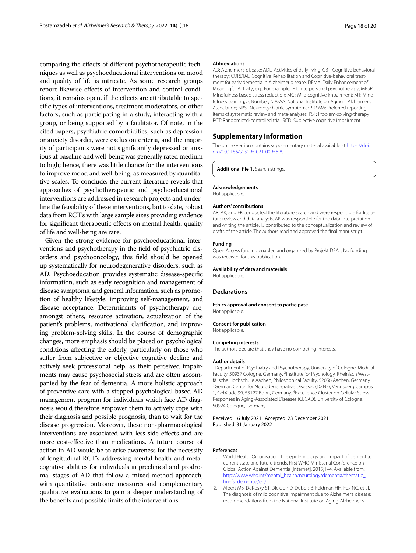comparing the efects of diferent psychotherapeutic techniques as well as psychoeducational interventions on mood and quality of life is intricate. As some research groups report likewise efects of intervention and control conditions, it remains open, if the effects are attributable to specifc types of interventions, treatment moderators, or other factors, such as participating in a study, interacting with a group, or being supported by a facilitator. Of note, in the cited papers, psychiatric comorbidities, such as depression or anxiety disorder, were exclusion criteria, and the majority of participants were not signifcantly depressed or anxious at baseline and well-being was generally rated medium to high; hence, there was little chance for the interventions to improve mood and well-being, as measured by quantitative scales. To conclude, the current literature reveals that approaches of psychotherapeutic and psychoeducational interventions are addressed in research projects and underline the feasibility of these interventions, but to date, robust data from RCT's with large sample sizes providing evidence for signifcant therapeutic efects on mental health, quality of life and well-being are rare.

Given the strong evidence for psychoeducational interventions and psychotherapy in the feld of psychiatric disorders and psychooncology, this feld should be opened up systematically for neurodegenerative disorders, such as AD. Psychoeducation provides systematic disease-specifc information, such as early recognition and management of disease symptoms, and general information, such as promotion of healthy lifestyle, improving self-management, and disease acceptance. Determinants of psychotherapy are, amongst others, resource activation, actualization of the patient's problems, motivational clarifcation, and improving problem-solving skills. In the course of demographic changes, more emphasis should be placed on psychological conditions afecting the elderly, particularly on those who sufer from subjective or objective cognitive decline and actively seek professional help, as their perceived impairments may cause psychosocial stress and are often accompanied by the fear of dementia. A more holistic approach of preventive care with a stepped psychological-based AD management program for individuals which face AD diagnosis would therefore empower them to actively cope with their diagnosis and possible prognosis, than to wait for the disease progression. Moreover, these non-pharmacological interventions are associated with less side efects and are more cost-efective than medications. A future course of action in AD would be to arise awareness for the necessity of longitudinal RCT's addressing mental health and metacognitive abilities for individuals in preclinical and prodromal stages of AD that follow a mixed-method approach, with quantitative outcome measures and complementary qualitative evaluations to gain a deeper understanding of the benefts and possible limits of the interventions.

#### **Abbreviations**

AD: Alzheimer's disease; ADL: Activities of daily living; CBT: Cognitive behavioral therapy; CORDIAL: Cognitive Rehabilitation and Cognitive-behavioral treatment for early dementia in Alzheimer disease; DEMA: Daily Enhancement of Meaningful Activity; e.g.: For example; IPT: Interpersonal psychotherapy; MBSR: Mindfulness based stress reduction; MCI: Mild cognitive impairment; MT: Mindfulness training; *n*: Number; NIA-AA: National Institute on Aging – Alzheimer's Association; NPS : Neuropsychiatric symptoms; PRISMA: Preferred reporting items of systematic review and meta-analyses; PST: Problem-solving-therapy; RCT: Randomized-controlled trial; SCD: Subjective cognitive impairment.

### **Supplementary Information**

The online version contains supplementary material available at [https://doi.](https://doi.org/10.1186/s13195-021-00956-8) [org/10.1186/s13195-021-00956-8](https://doi.org/10.1186/s13195-021-00956-8).

<span id="page-17-2"></span>**Additional fle 1.** Search strings.

#### **Acknowledgements**

Not applicable.

#### **Authors' contributions**

AR, AK, and FK conducted the literature search and were responsible for literature review and data analysis. AR was responsible for the data interpretation and writing the article. FJ contributed to the conceptualization and review of drafts of the article. The authors read and approved the fnal manuscript.

#### **Funding**

Open Access funding enabled and organized by Projekt DEAL. No funding was received for this publication.

#### **Availability of data and materials**

Not applicable.

### **Declarations**

# **Ethics approval and consent to participate**

Not applicable.

**Consent for publication**

Not applicable.

#### **Competing interests**

The authors declare that they have no competing interests.

#### **Author details**

<sup>1</sup> Department of Psychiatry and Psychotherapy, University of Cologne, Medical Faculty, 50937 Cologne, Germany. <sup>2</sup>Institute for Psychology, Rheinisch Westfälische Hochschule Aachen, Philosophical Faculty, 52056 Aachen, Germany. <sup>3</sup>German Center for Neurodegenerative Diseases (DZNE), Venusberg Campus 1, Gebäude 99, 53127 Bonn, Germany. 4 Excellence Cluster on Cellular Stress Responses in Aging-Associated Diseases (CECAD), University of Cologne, 50924 Cologne, Germany.

Received: 16 July 2021 Accepted: 23 December 2021 Published: 31 January 2022

#### **References**

- <span id="page-17-0"></span>1. World Health Organisation. The epidemiology and impact of dementia: current state and future trends. First WHO Ministerial Conference on Global Action Against Dementia [Internet]. 2015;1–4. Available from: [http://www.who.int/mental\\_health/neurology/dementia/thematic\\_](http://www.who.int/mental_health/neurology/dementia/thematic_briefs_dementia/en/) [briefs\\_dementia/en/](http://www.who.int/mental_health/neurology/dementia/thematic_briefs_dementia/en/)
- <span id="page-17-1"></span>2. Albert MS, DeKosky ST, Dickson D, Dubois B, Feldman HH, Fox NC, et al. The diagnosis of mild cognitive impairment due to Alzheimer's disease: recommendations from the National Institute on Aging-Alzheimer's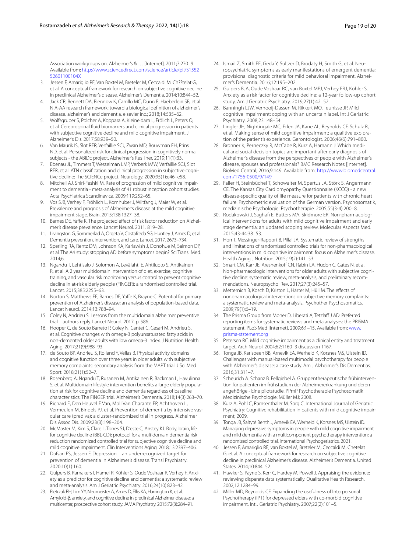Association workgroups on. Alzheimer's & … [Internet]. 2011;7:270–9. Available from: [http://www.sciencedirect.com/science/article/pii/S1552](http://www.sciencedirect.com/science/article/pii/S155252601100104X) [52601100104X](http://www.sciencedirect.com/science/article/pii/S155252601100104X)

- <span id="page-18-1"></span>3. Jessen F, Amariglio RE, Van Boxtel M, Breteler M, Ceccaldi M. Ch??telat G, et al. A conceptual framework for research on subjective cognitive decline in preclinical Alzheimer's disease. Alzheimer's Dementia. 2014;10:844–52.
- <span id="page-18-0"></span>4. Jack CR, Bennett DA, Blennow K, Carrillo MC, Dunn B, Haeberlein SB, et al. NIA-AA research framework: toward a biological defnition of alzheimer's disease. alzheimer's and dementia. elsevier inc.; 2018;14:535–62.
- <span id="page-18-2"></span>5. Wolfsgruber S, Polcher A, Koppara A, Kleineidam L, Frölich L, Peters O, et al. Cerebrospinal fuid biomarkers and clinical progression in patients with subjective cognitive decline and mild cognitive impairment. J Alzheimer's Dis. 2017;58:939–50.
- 6. Van Maurik IS, Slot RER, Verfaillie SCJ, Zwan MD, Bouwman FH, Prins ND, et al. Personalized risk for clinical progression in cognitively normal subjects - the ABIDE project. Alzheimer's Res Ther. 2019;11(1):33.
- <span id="page-18-3"></span>7. Ebenau JL, Timmers T, Wesselman LMP, Verberk IMW, Verfaillie SCJ, Slot RER, et al. ATN classifcation and clinical progression in subjective cognitive decline: The SCIENCe project. Neurology. 2020;95(1):e46–e58.
- <span id="page-18-4"></span>8. Mitchell AJ, Shiri-Feshki M. Rate of progression of mild cognitive impairment to dementia - meta-analysis of 41 robust inception cohort studies. Acta Psychiatrica Scandinavica. 2009;119:252–65.
- <span id="page-18-5"></span>9. Vos SJB, Verhey F, Fröhlich L, Kornhuber J, Wiltfang J, Maier W, et al. Prevalence and prognosis of Alzheimer's disease at the mild cognitive impairment stage. Brain. 2015;138:1327–38.
- <span id="page-18-6"></span>10. Barnes DE, Yaffe K. The projected effect of risk factor reduction on Alzheimer's disease prevalence. Lancet Neurol. 2011. 819–28.
- 11. Livingston G, Sommerlad A, Orgeta V, Costafreda SG, Huntley J, Ames D, et al. Dementia prevention, intervention, and care. Lancet. 2017. 2673–734.
- 12. Sperling RA, Rentz DM, Johnson KA, Karlawish J, Donohue M, Salmon DP, et al. The A4 study: stopping AD before symptoms begin? Sci Transl Med. 2014;6.
- <span id="page-18-7"></span>13. Ngandu T, Lehtisalo J, Solomon A, Levälahti E, Ahtiluoto S, Antikainen R, et al. A 2 year multidomain intervention of diet, exercise, cognitive training, and vascular risk monitoring versus control to prevent cognitive decline in at-risk elderly people (FINGER): a randomised controlled trial. Lancet. 2015;385:2255–63.
- <span id="page-18-8"></span>14. Norton S, Matthews FE, Barnes DE, Yaffe K, Brayne C. Potential for primary prevention of Alzheimer's disease: an analysis of population-based data. Lancet Neurol. 2014;13:788–94.
- <span id="page-18-9"></span>15. Coley N, Andrieu S. Lessons from the multidomain alzheimer preventive trial – authors' reply. Lancet Neurol. 2017. p. 586.
- 16. Hooper C, de Souto Barreto P, Coley N, Cantet C, Cesari M, Andrieu S, et al. Cognitive changes with omega-3 polyunsaturated fatty acids in non-demented older adults with low omega-3 index. J Nutrition Health Aging. 2017;21(9):988–93.
- 17. de Souto BP, Andrieu S, Rolland Y, Vellas B. Physical activity domains and cognitive function over three years in older adults with subjective memory complaints: secondary analysis from the MAPT trial. J Sci Med Sport. 2018;21(1):52–7.
- 18. Rosenberg A, Ngandu T, Rusanen M, Antikainen R, Bäckman L, Havulinna S, et al. Multidomain lifestyle intervention benefts a large elderly population at risk for cognitive decline and dementia regardless of baseline characteristics: The FINGER trial. Alzheimer's Dementia. 2018;14(3):263–70.
- 19. Richard E, Den Heuvel E Van, Moll Van Charante EP, Achthoven L, Vermeulen M, Bindels PJ, et al. Prevention of dementia by intensive vascular care (prediva): a cluster-randomized trial in progress. Alzheimer Dis Assoc Dis. 2009;23(3):198–204.
- <span id="page-18-28"></span>20. McMaster M, Kim S, Clare L, Torres SJ, D'este C, Anstey KJ. Body, brain, life for cognitive decline (BBL-CD): protocol for a multidomain dementia risk reduction randomized controlled trial for subjective cognitive decline and mild cognitive impairment. Clin Interventions Aging. 2018;13:2397–406.
- <span id="page-18-10"></span>21. Dafsari FS, Jessen F. Depression—an underrecognized target for prevention of dementia in Alzheimer's disease. Transl Psychiatry. 2020;10(1):160.
- 22. Gulpers B, Ramakers I, Hamel R, Köhler S, Oude Voshaar R, Verhey F. Anxiety as a predictor for cognitive decline and dementia: a systematic review and meta-analysis. Am J Geriatric Psychiatry. 2016;24(10):823–42.
- 23. Pietrzak RH, Lim YY, Neumeister A, Ames D, Ellis KA, Harrington K, et al. Amyloid-β, anxiety, and cognitive decline in preclinical Alzheimer disease: a multicenter, prospective cohort study. JAMA Psychiatry. 2015;72(3):284–91.
- 24. Ismail Z, Smith EE, Geda Y, Sultzer D, Brodaty H, Smith G, et al. Neuropsychiatric symptoms as early manifestations of emergent dementia: provisional diagnostic criteria for mild behavioral impairment. Alzheimer's Dementia. 2016;12:195–202.
- <span id="page-18-11"></span>25. Gulpers BJA, Oude Voshaar RC, van Boxtel MPJ, Verhey FRJ, Köhler S. Anxiety as a risk factor for cognitive decline: a 12-year follow-up cohort study. Am J Geriatric Psychiatry. 2019;27(1):42–52.
- <span id="page-18-12"></span>26. Banningh LJW, Vernooij-Dassen M, Rikkert MO, Teunisse JP. Mild cognitive impairment: coping with an uncertain label. Int J Geriatric Psychiatry. 2008;23:148–54.
- 27. Lingler JH, Nightingale MC, Erlen JA, Kane AL, Reynolds CF, Schulz R, et al. Making sense of mild cognitive impairment: a qualitive exploration of the patient's experience. Gerontologist. 2006;46(6):791–800.
- <span id="page-18-13"></span>28. Bronner K, Perneczky R, McCabe R, Kurz A, Hamann J. Which medical and social decision topics are important after early diagnosis of Alzheimer's disease from the perspectives of people with Alzheimer's disease, spouses and professionals? BMC Research Notes [Internet]. BioMed Central; 2016;9:149. Available from: [http://www.biomedcentral.](http://www.biomedcentral.com/1756-0500/9/149) [com/1756-0500/9/149](http://www.biomedcentral.com/1756-0500/9/149)
- <span id="page-18-14"></span>29. Faller H, Steinbüchel T, Schowalter M, Spertus JA, Störk S, Angermann CE. The Kansas City Cardiomyopathy Questionnaire (KCCQ) - a new disease-specifc quality of life measure for patients with chronic heart failure: Psychometric evaluation of the German version. Psychosomatik, medizinische Psychologie: Psychotherapie. 2005;55(3-4):200–8.
- <span id="page-18-15"></span>30. Rodakowski J, Saghaf E, Butters MA, Skidmore ER. Non-pharmacological interventions for adults with mild cognitive impairment and early stage dementia: an updated scoping review. Molecular Aspects Med. 2015;43-44:38–53.
- <span id="page-18-16"></span>31. Horr T, Messinger-Rapport B, Pillai JA. Systematic review of strengths and limitations of randomized controlled trials for non-pharmacological interventions in mild cognitive impairment: focus on Alzheimer's disease. Health Aging J Nutrition. 2015;19(2):141–53.
- <span id="page-18-17"></span>32. Smart CM, Karr JE, Areshenkoff CN, Rabin LA, Hudon C, Gates N, et al. Non-pharmacologic interventions for older adults with subjective cognitive decline: systematic review, meta-analysis, and preliminary recommendations. Neuropsychol Rev. 2017;27(3):245–57.
- <span id="page-18-18"></span>33. Metternich B, Kosch D, Kriston L, Härter M, Hüll M. The efects of nonpharmacological interventions on subjective memory complaints: a systematic review and meta-analysis. Psychother Psychosomatics. 2009;79(1):6–19.
- <span id="page-18-19"></span>34. The Prisma Group from Moher D, Liberati A, Tetzlaff J AD. Preferred reporting items for systematic reviews and meta analyses: the PRISMA statement. PLoS Med [Internet]. 2009;6:1–15. Available from: [www.](http://www.prisma-ststement.org) [prisma-ststement.org](http://www.prisma-ststement.org)
- <span id="page-18-20"></span>35. Petersen RC. Mild cognitive impairment as a clinical entity and treatment target. Arch Neurol. 2004;62:1160–3 discussion 1167.
- <span id="page-18-21"></span>36. Tonga JB, Karlsoeen BB, Arnevik EA, Werheid K, Korsnes MS, Ulstein ID. Challenges with manual-based multimodal psychotherapy for people with Alzheimer's disease: a case study. Am J Alzheimer's Dis Dementias. 2016;31:311–7.
- <span id="page-18-26"></span>37. Scheurich A. Schanz B. Fellgiebel A. Gruppentherapeutische frühintervention für patienten im frühstadium der Alzheimererkrankung und deren angehörige - Eine pilotstudie. PPmP Psychotherapie Psychosomatik Medizinische Psychologie: Müller MJ; 2008.
- <span id="page-18-27"></span>38. Kurz A, Pohl C, Ramsenthaler M. Sorg C. International Journal of Geriatric Psychiatry: Cognitive rehabilitation in patients with mild cognitive impairment; 2009.
- <span id="page-18-22"></span>39. Tonga JB, Šaltytė Benth J, Arnevik EA, Werheid K, Korsnes MS, Ulstein ID. Managing depressive symptoms in people with mild cognitive impairment and mild dementia with a multicomponent psychotherapy intervention: a randomized controlled trial. International Psychogeriatrics. 2021.
- <span id="page-18-23"></span>40. Jessen F, Amariglio RE, van Boxtel M, Breteler M, Ceccaldi M, Chetelat G, et al. A conceptual framework for research on subjective cognitive decline in preclinical Alzheimer's disease. Alzheimer's Dementia. United States. 2014;10:844–52.
- <span id="page-18-24"></span>41. Hawker S, Payne S, Kerr C, Hardey M, Powell J. Appraising the evidence: reviewing disparate data systematically. Qualitative Health Research. 2002;12:1284–99.
- <span id="page-18-25"></span>42. Miller MD, Reynolds CF. Expanding the usefulness of Interpersonal Psychotherapy (IPT) for depressed elders with co-morbid cognitive impairment. Int J Geriatric Psychiatry. 2007;22(2):101–5.